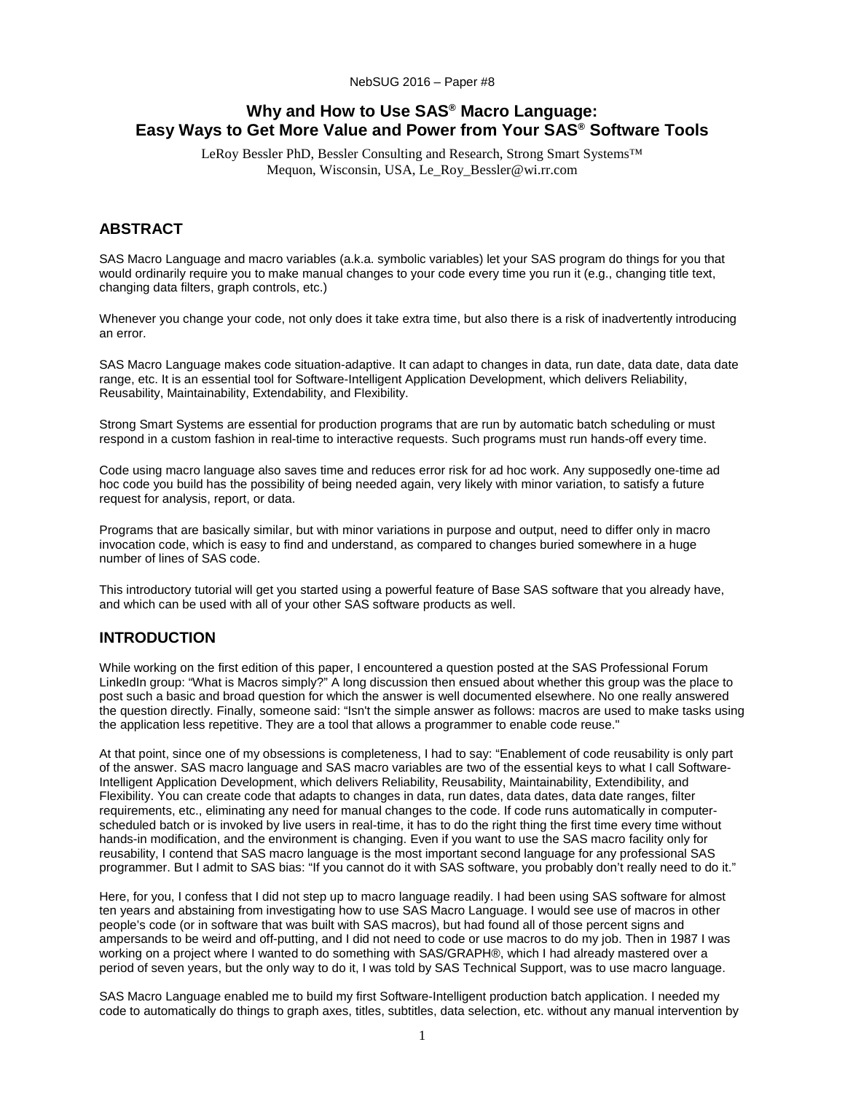# **Why and How to Use SAS® Macro Language: Easy Ways to Get More Value and Power from Your SAS® Software Tools**

LeRoy Bessler PhD, Bessler Consulting and Research, Strong Smart Systems™ Mequon, Wisconsin, USA, Le\_Roy\_Bessler@wi.rr.com

## **ABSTRACT**

SAS Macro Language and macro variables (a.k.a. symbolic variables) let your SAS program do things for you that would ordinarily require you to make manual changes to your code every time you run it (e.g., changing title text, changing data filters, graph controls, etc.)

Whenever you change your code, not only does it take extra time, but also there is a risk of inadvertently introducing an error.

SAS Macro Language makes code situation-adaptive. It can adapt to changes in data, run date, data date, data date range, etc. It is an essential tool for Software-Intelligent Application Development, which delivers Reliability, Reusability, Maintainability, Extendability, and Flexibility.

Strong Smart Systems are essential for production programs that are run by automatic batch scheduling or must respond in a custom fashion in real-time to interactive requests. Such programs must run hands-off every time.

Code using macro language also saves time and reduces error risk for ad hoc work. Any supposedly one-time ad hoc code you build has the possibility of being needed again, very likely with minor variation, to satisfy a future request for analysis, report, or data.

Programs that are basically similar, but with minor variations in purpose and output, need to differ only in macro invocation code, which is easy to find and understand, as compared to changes buried somewhere in a huge number of lines of SAS code.

This introductory tutorial will get you started using a powerful feature of Base SAS software that you already have, and which can be used with all of your other SAS software products as well.

# **INTRODUCTION**

While working on the first edition of this paper, I encountered a question posted at the SAS Professional Forum LinkedIn group: "What is Macros simply?" A long discussion then ensued about whether this group was the place to post such a basic and broad question for which the answer is well documented elsewhere. No one really answered the question directly. Finally, someone said: "Isn't the simple answer as follows: macros are used to make tasks using the application less repetitive. They are a tool that allows a programmer to enable code reuse."

At that point, since one of my obsessions is completeness, I had to say: "Enablement of code reusability is only part of the answer. SAS macro language and SAS macro variables are two of the essential keys to what I call Software-Intelligent Application Development, which delivers Reliability, Reusability, Maintainability, Extendibility, and Flexibility. You can create code that adapts to changes in data, run dates, data dates, data date ranges, filter requirements, etc., eliminating any need for manual changes to the code. If code runs automatically in computerscheduled batch or is invoked by live users in real-time, it has to do the right thing the first time every time without hands-in modification, and the environment is changing. Even if you want to use the SAS macro facility only for reusability, I contend that SAS macro language is the most important second language for any professional SAS programmer. But I admit to SAS bias: "If you cannot do it with SAS software, you probably don't really need to do it."

Here, for you, I confess that I did not step up to macro language readily. I had been using SAS software for almost ten years and abstaining from investigating how to use SAS Macro Language. I would see use of macros in other people's code (or in software that was built with SAS macros), but had found all of those percent signs and ampersands to be weird and off-putting, and I did not need to code or use macros to do my job. Then in 1987 I was working on a project where I wanted to do something with SAS/GRAPH®, which I had already mastered over a period of seven years, but the only way to do it, I was told by SAS Technical Support, was to use macro language.

SAS Macro Language enabled me to build my first Software-Intelligent production batch application. I needed my code to automatically do things to graph axes, titles, subtitles, data selection, etc. without any manual intervention by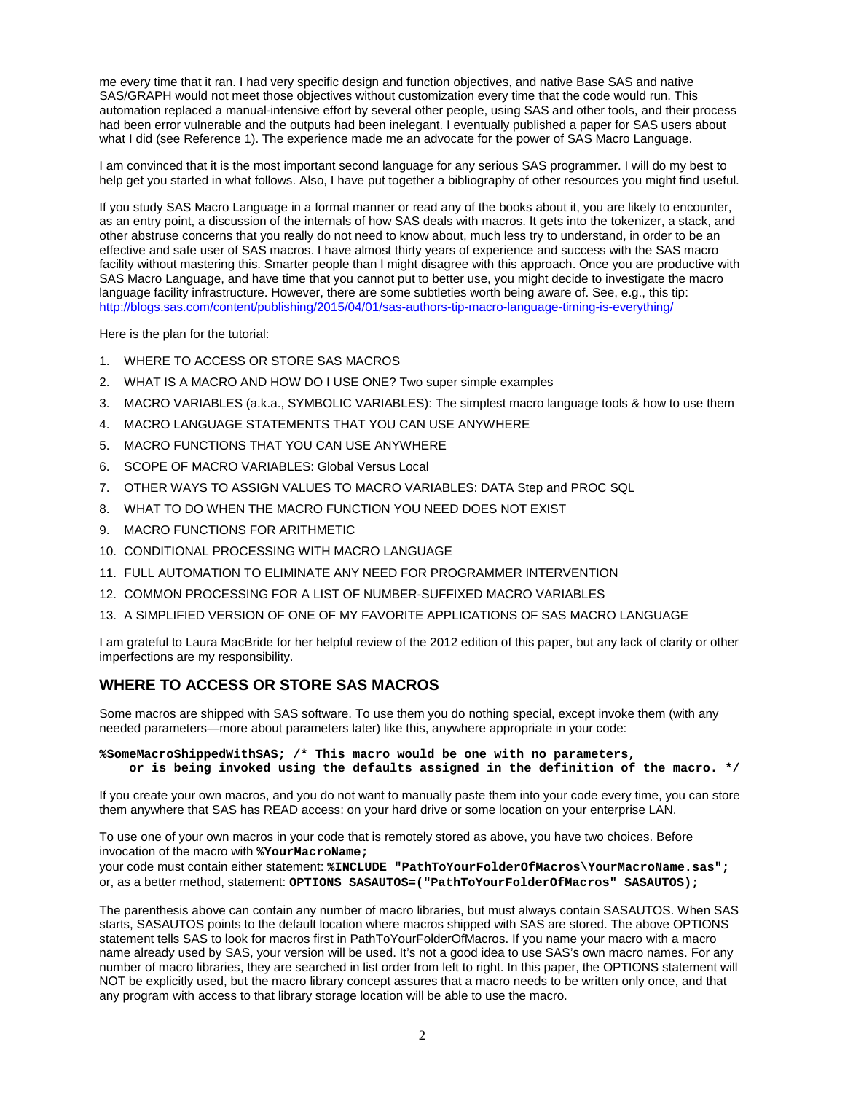me every time that it ran. I had very specific design and function objectives, and native Base SAS and native SAS/GRAPH would not meet those objectives without customization every time that the code would run. This automation replaced a manual-intensive effort by several other people, using SAS and other tools, and their process had been error vulnerable and the outputs had been inelegant. I eventually published a paper for SAS users about what I did (see Reference 1). The experience made me an advocate for the power of SAS Macro Language.

I am convinced that it is the most important second language for any serious SAS programmer. I will do my best to help get you started in what follows. Also, I have put together a bibliography of other resources you might find useful.

If you study SAS Macro Language in a formal manner or read any of the books about it, you are likely to encounter, as an entry point, a discussion of the internals of how SAS deals with macros. It gets into the tokenizer, a stack, and other abstruse concerns that you really do not need to know about, much less try to understand, in order to be an effective and safe user of SAS macros. I have almost thirty years of experience and success with the SAS macro facility without mastering this. Smarter people than I might disagree with this approach. Once you are productive with SAS Macro Language, and have time that you cannot put to better use, you might decide to investigate the macro language facility infrastructure. However, there are some subtleties worth being aware of. See, e.g., this tip: <http://blogs.sas.com/content/publishing/2015/04/01/sas-authors-tip-macro-language-timing-is-everything/>

Here is the plan for the tutorial:

- 1. WHERE TO ACCESS OR STORE SAS MACROS
- 2. WHAT IS A MACRO AND HOW DO I USE ONE? Two super simple examples
- 3. MACRO VARIABLES (a.k.a., SYMBOLIC VARIABLES): The simplest macro language tools & how to use them
- 4. MACRO LANGUAGE STATEMENTS THAT YOU CAN USE ANYWHERE
- 5. MACRO FUNCTIONS THAT YOU CAN USE ANYWHERE
- 6. SCOPE OF MACRO VARIABLES: Global Versus Local
- 7. OTHER WAYS TO ASSIGN VALUES TO MACRO VARIABLES: DATA Step and PROC SQL
- 8. WHAT TO DO WHEN THE MACRO FUNCTION YOU NEED DOES NOT EXIST
- 9. MACRO FUNCTIONS FOR ARITHMETIC
- 10. CONDITIONAL PROCESSING WITH MACRO LANGUAGE
- 11. FULL AUTOMATION TO ELIMINATE ANY NEED FOR PROGRAMMER INTERVENTION
- 12. COMMON PROCESSING FOR A LIST OF NUMBER-SUFFIXED MACRO VARIABLES
- 13. A SIMPLIFIED VERSION OF ONE OF MY FAVORITE APPLICATIONS OF SAS MACRO LANGUAGE

I am grateful to Laura MacBride for her helpful review of the 2012 edition of this paper, but any lack of clarity or other imperfections are my responsibility.

## **WHERE TO ACCESS OR STORE SAS MACROS**

Some macros are shipped with SAS software. To use them you do nothing special, except invoke them (with any needed parameters—more about parameters later) like this, anywhere appropriate in your code:

#### **%SomeMacroShippedWithSAS; /\* This macro would be one with no parameters, or is being invoked using the defaults assigned in the definition of the macro. \*/**

If you create your own macros, and you do not want to manually paste them into your code every time, you can store them anywhere that SAS has READ access: on your hard drive or some location on your enterprise LAN.

To use one of your own macros in your code that is remotely stored as above, you have two choices. Before invocation of the macro with **%YourMacroName;**

your code must contain either statement: **%INCLUDE "PathToYourFolderOfMacros\YourMacroName.sas";** or, as a better method, statement: **OPTIONS SASAUTOS=("PathToYourFolderOfMacros" SASAUTOS);**

The parenthesis above can contain any number of macro libraries, but must always contain SASAUTOS. When SAS starts, SASAUTOS points to the default location where macros shipped with SAS are stored. The above OPTIONS statement tells SAS to look for macros first in PathToYourFolderOfMacros. If you name your macro with a macro name already used by SAS, your version will be used. It's not a good idea to use SAS's own macro names. For any number of macro libraries, they are searched in list order from left to right. In this paper, the OPTIONS statement will NOT be explicitly used, but the macro library concept assures that a macro needs to be written only once, and that any program with access to that library storage location will be able to use the macro.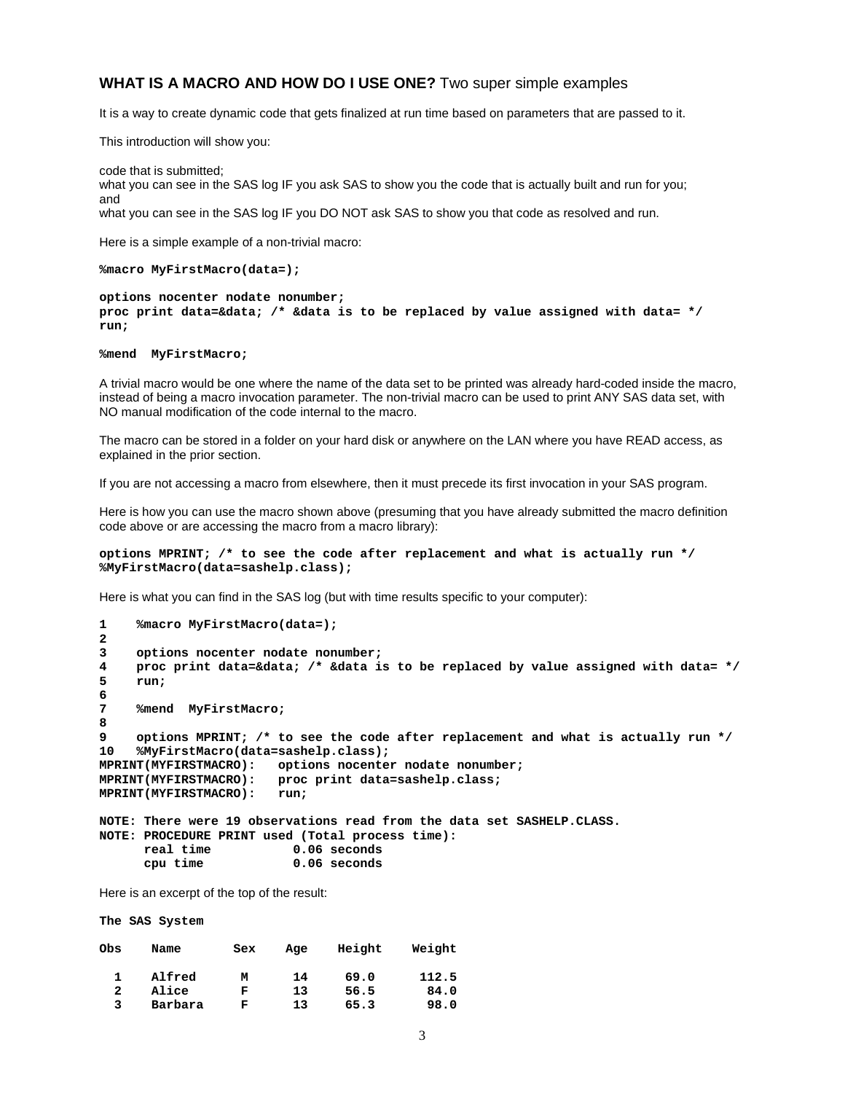#### **WHAT IS A MACRO AND HOW DO I USE ONE?** Two super simple examples

It is a way to create dynamic code that gets finalized at run time based on parameters that are passed to it.

This introduction will show you:

code that is submitted; what you can see in the SAS log IF you ask SAS to show you the code that is actually built and run for you; and what you can see in the SAS log IF you DO NOT ask SAS to show you that code as resolved and run.

Here is a simple example of a non-trivial macro:

**%macro MyFirstMacro(data=);**

**options nocenter nodate nonumber; proc print data=&data; /\* &data is to be replaced by value assigned with data= \*/ run;**

**%mend MyFirstMacro;**

A trivial macro would be one where the name of the data set to be printed was already hard-coded inside the macro, instead of being a macro invocation parameter. The non-trivial macro can be used to print ANY SAS data set, with NO manual modification of the code internal to the macro.

The macro can be stored in a folder on your hard disk or anywhere on the LAN where you have READ access, as explained in the prior section.

If you are not accessing a macro from elsewhere, then it must precede its first invocation in your SAS program.

Here is how you can use the macro shown above (presuming that you have already submitted the macro definition code above or are accessing the macro from a macro library):

#### **options MPRINT; /\* to see the code after replacement and what is actually run \*/ %MyFirstMacro(data=sashelp.class);**

Here is what you can find in the SAS log (but with time results specific to your computer):

```
1 %macro MyFirstMacro(data=);
2
3 options nocenter nodate nonumber;
4 proc print data=&data; /* &data is to be replaced by value assigned with data= */
    5 run;
6
     7 %mend MyFirstMacro;
8
9 options MPRINT; /* to see the code after replacement and what is actually run */
10 %MyFirstMacro(data=sashelp.class);
MPRINT(MYFIRSTMACRO): options nocenter nodate nonumber;
                       proc print data=sashelp.class;<br>run;
MPRINT(MYFTRSTMACRO):
NOTE: There were 19 observations read from the data set SASHELP.CLASS.
NOTE: PROCEDURE PRINT used (Total process time):
```

```
real time<br>cpu time
                              0.06 seconds
```
Here is an excerpt of the top of the result:

**The SAS System**

| Obs | Name    | Sex | Age | Height | Weight |
|-----|---------|-----|-----|--------|--------|
|     | Alfred  | м   | 14  | 69.0   | 112.5  |
| 2   | Alice   | F   | 13  | 56.5   | 84.0   |
| 3   | Barbara | F   | 13  | 65.3   | 98.0   |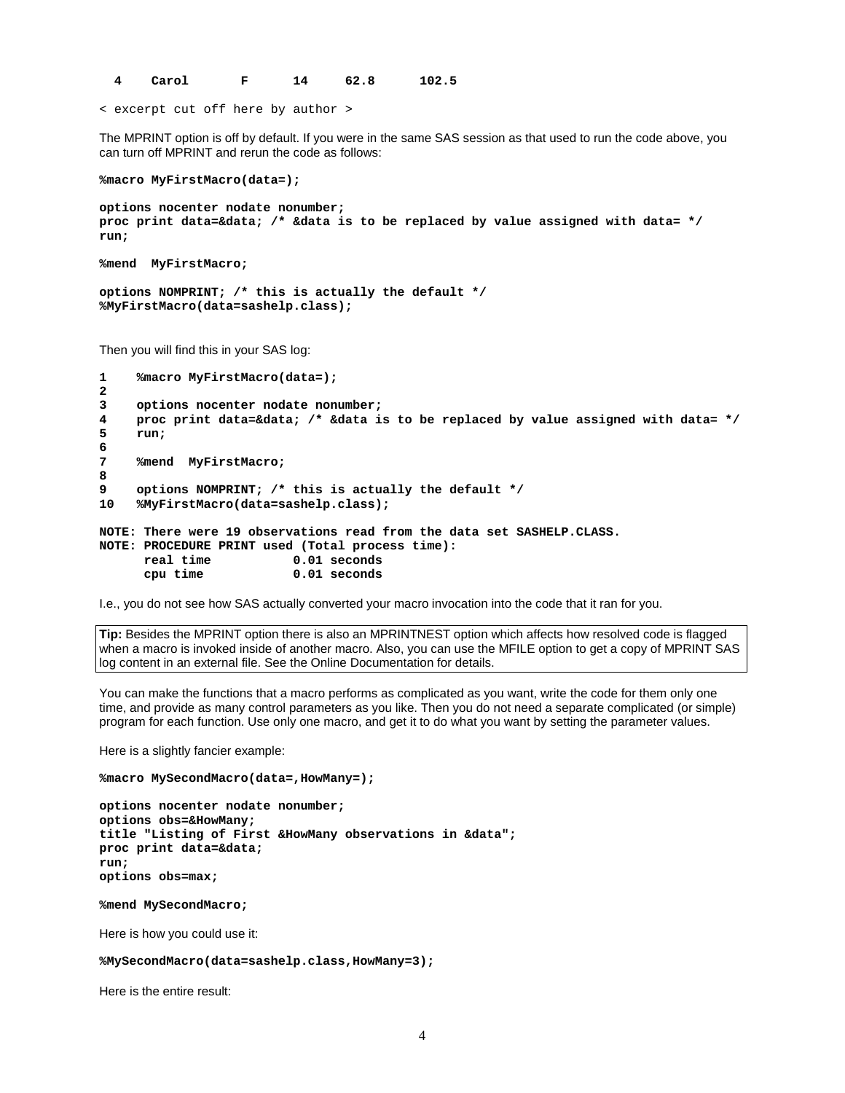**4 Carol F 14 62.8 102.5**

< excerpt cut off here by author >

The MPRINT option is off by default. If you were in the same SAS session as that used to run the code above, you can turn off MPRINT and rerun the code as follows:

**%macro MyFirstMacro(data=);**

**options nocenter nodate nonumber; proc print data=&data; /\* &data is to be replaced by value assigned with data= \*/ run;**

```
%mend MyFirstMacro;
```
**options NOMPRINT; /\* this is actually the default \*/ %MyFirstMacro(data=sashelp.class);**

Then you will find this in your SAS log:

```
1 %macro MyFirstMacro(data=);
2
3 options nocenter nodate nonumber;<br>4 oroc print data=&data: /* &data i
4 proc print data=&data; /* &data is to be replaced by value assigned with data= */
     5 run;
6
     7 %mend MyFirstMacro;
8
9 options NOMPRINT; /* this is actually the default */
     10 %MyFirstMacro(data=sashelp.class);
NOTE: There were 19 observations read from the data set SASHELP.CLASS.
NOTE: PROCEDURE PRINT used (Total process time):
      real time 0.01 seconds<br>cpu time 0.01 seconds
                             0.01 seconds
```
I.e., you do not see how SAS actually converted your macro invocation into the code that it ran for you.

**Tip:** Besides the MPRINT option there is also an MPRINTNEST option which affects how resolved code is flagged when a macro is invoked inside of another macro. Also, you can use the MFILE option to get a copy of MPRINT SAS log content in an external file. See the Online Documentation for details.

You can make the functions that a macro performs as complicated as you want, write the code for them only one time, and provide as many control parameters as you like. Then you do not need a separate complicated (or simple) program for each function. Use only one macro, and get it to do what you want by setting the parameter values.

Here is a slightly fancier example:

```
%macro MySecondMacro(data=,HowMany=);
```
**options nocenter nodate nonumber; options obs=&HowMany; title "Listing of First &HowMany observations in &data"; proc print data=&data; run; options obs=max;**

**%mend MySecondMacro;**

Here is how you could use it:

#### **%MySecondMacro(data=sashelp.class,HowMany=3);**

Here is the entire result: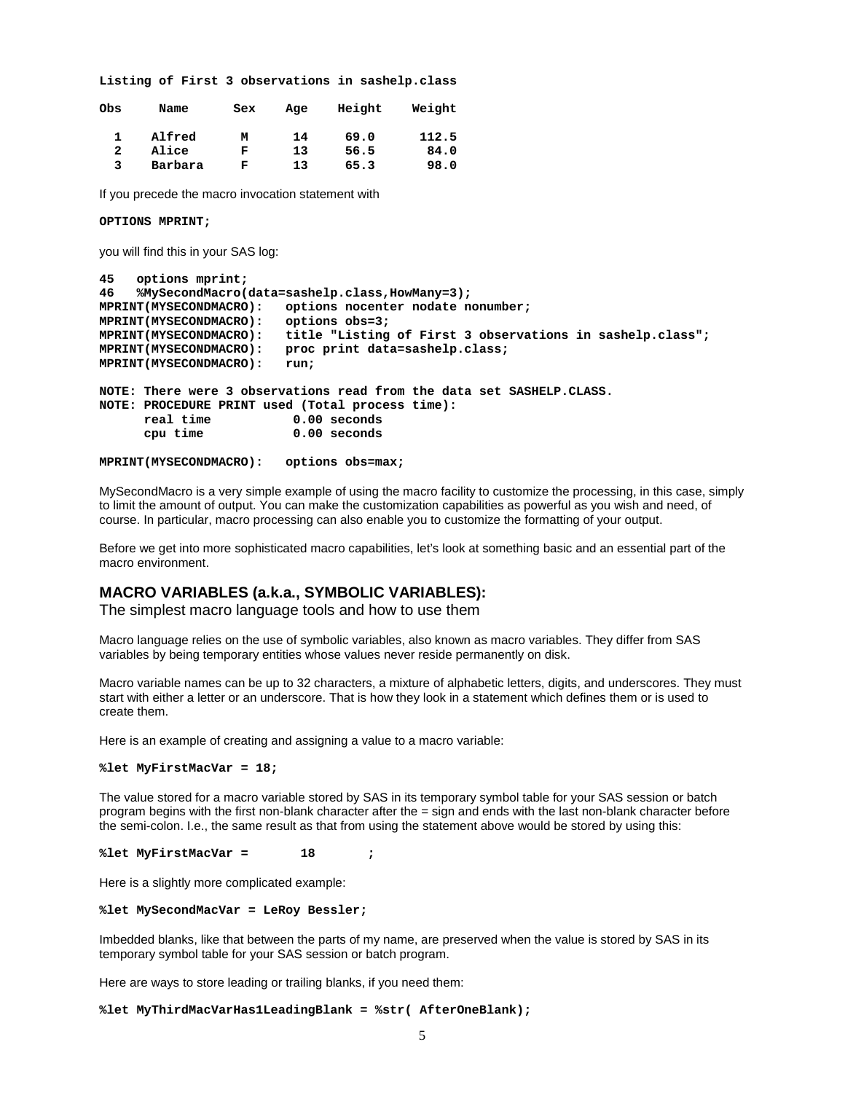**Listing of First 3 observations in sashelp.class Obs Name Sex Age Height Weight 1 Alfred M 14 69.0 112.5 2 Alice F 13 56.5 84.0 3 Barbara F 13 65.3 98.0** If you precede the macro invocation statement with **OPTIONS MPRINT;** you will find this in your SAS log: **45 options mprint; 46 %MySecondMacro(data=sashelp.class,HowMany=3); MPRINT(MYSECONDMACRO): options nocenter nodate nonumber; MPRINT(MYSECONDMACRO): options obs=3; MPRINT(MYSECONDMACRO): title "Listing of First 3 observations in sashelp.class"; MPRINT(MYSECONDMACRO): proc print data=sashelp.class; MPRINT(MYSECONDMACRO): run; NOTE: There were 3 observations read from the data set SASHELP.CLASS. NOTE: PROCEDURE PRINT used (Total process time): real time**  $0.00$  seconds<br>cpu time  $0.00$  seconds 0.00 seconds

**MPRINT(MYSECONDMACRO): options obs=max;**

MySecondMacro is a very simple example of using the macro facility to customize the processing, in this case, simply to limit the amount of output. You can make the customization capabilities as powerful as you wish and need, of course. In particular, macro processing can also enable you to customize the formatting of your output.

Before we get into more sophisticated macro capabilities, let's look at something basic and an essential part of the macro environment.

#### **MACRO VARIABLES (a.k.a., SYMBOLIC VARIABLES):**

The simplest macro language tools and how to use them

Macro language relies on the use of symbolic variables, also known as macro variables. They differ from SAS variables by being temporary entities whose values never reside permanently on disk.

Macro variable names can be up to 32 characters, a mixture of alphabetic letters, digits, and underscores. They must start with either a letter or an underscore. That is how they look in a statement which defines them or is used to create them.

Here is an example of creating and assigning a value to a macro variable:

```
%let MyFirstMacVar = 18;
```
The value stored for a macro variable stored by SAS in its temporary symbol table for your SAS session or batch program begins with the first non-blank character after the = sign and ends with the last non-blank character before the semi-colon. I.e., the same result as that from using the statement above would be stored by using this:

**%let MyFirstMacVar = 18 ;**

Here is a slightly more complicated example:

**%let MySecondMacVar = LeRoy Bessler;**

Imbedded blanks, like that between the parts of my name, are preserved when the value is stored by SAS in its temporary symbol table for your SAS session or batch program.

Here are ways to store leading or trailing blanks, if you need them:

**%let MyThirdMacVarHas1LeadingBlank = %str( AfterOneBlank);**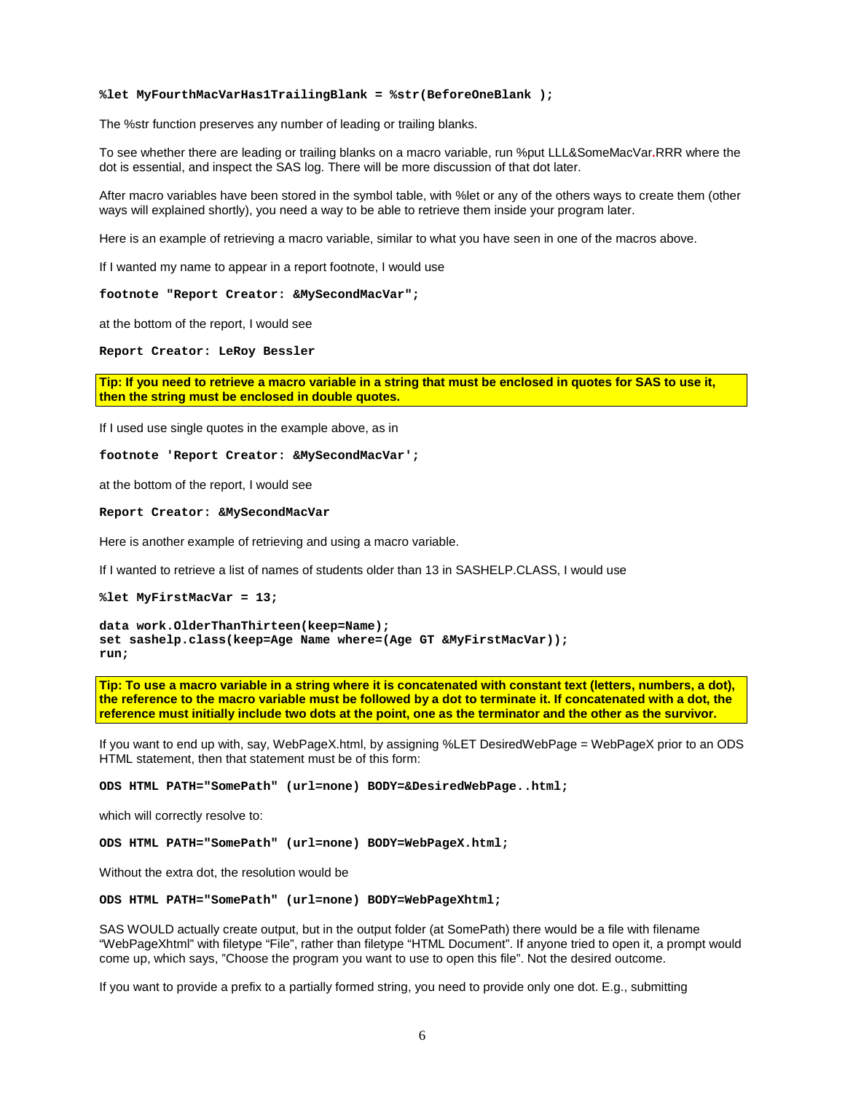#### **%let MyFourthMacVarHas1TrailingBlank = %str(BeforeOneBlank );**

The %str function preserves any number of leading or trailing blanks.

To see whether there are leading or trailing blanks on a macro variable, run %put LLL&SomeMacVar**.**RRR where the dot is essential, and inspect the SAS log. There will be more discussion of that dot later.

After macro variables have been stored in the symbol table, with %let or any of the others ways to create them (other ways will explained shortly), you need a way to be able to retrieve them inside your program later.

Here is an example of retrieving a macro variable, similar to what you have seen in one of the macros above.

If I wanted my name to appear in a report footnote, I would use

**footnote "Report Creator: &MySecondMacVar";**

at the bottom of the report, I would see

**Report Creator: LeRoy Bessler**

**Tip: If you need to retrieve a macro variable in a string that must be enclosed in quotes for SAS to use it, then the string must be enclosed in double quotes.** 

If I used use single quotes in the example above, as in

**footnote 'Report Creator: &MySecondMacVar';**

at the bottom of the report, I would see

**Report Creator: &MySecondMacVar**

Here is another example of retrieving and using a macro variable.

If I wanted to retrieve a list of names of students older than 13 in SASHELP.CLASS, I would use

**%let MyFirstMacVar = 13;**

**data work.OlderThanThirteen(keep=Name); set sashelp.class(keep=Age Name where=(Age GT &MyFirstMacVar)); run;**

**Tip: To use a macro variable in a string where it is concatenated with constant text (letters, numbers, a dot), the reference to the macro variable must be followed by a dot to terminate it. If concatenated with a dot, the reference must initially include two dots at the point, one as the terminator and the other as the survivor.**

If you want to end up with, say, WebPageX.html, by assigning %LET DesiredWebPage = WebPageX prior to an ODS HTML statement, then that statement must be of this form:

**ODS HTML PATH="SomePath" (url=none) BODY=&DesiredWebPage..html;**

which will correctly resolve to:

**ODS HTML PATH="SomePath" (url=none) BODY=WebPageX.html;**

Without the extra dot, the resolution would be

**ODS HTML PATH="SomePath" (url=none) BODY=WebPageXhtml;**

SAS WOULD actually create output, but in the output folder (at SomePath) there would be a file with filename "WebPageXhtml" with filetype "File", rather than filetype "HTML Document". If anyone tried to open it, a prompt would come up, which says, "Choose the program you want to use to open this file". Not the desired outcome.

If you want to provide a prefix to a partially formed string, you need to provide only one dot. E.g., submitting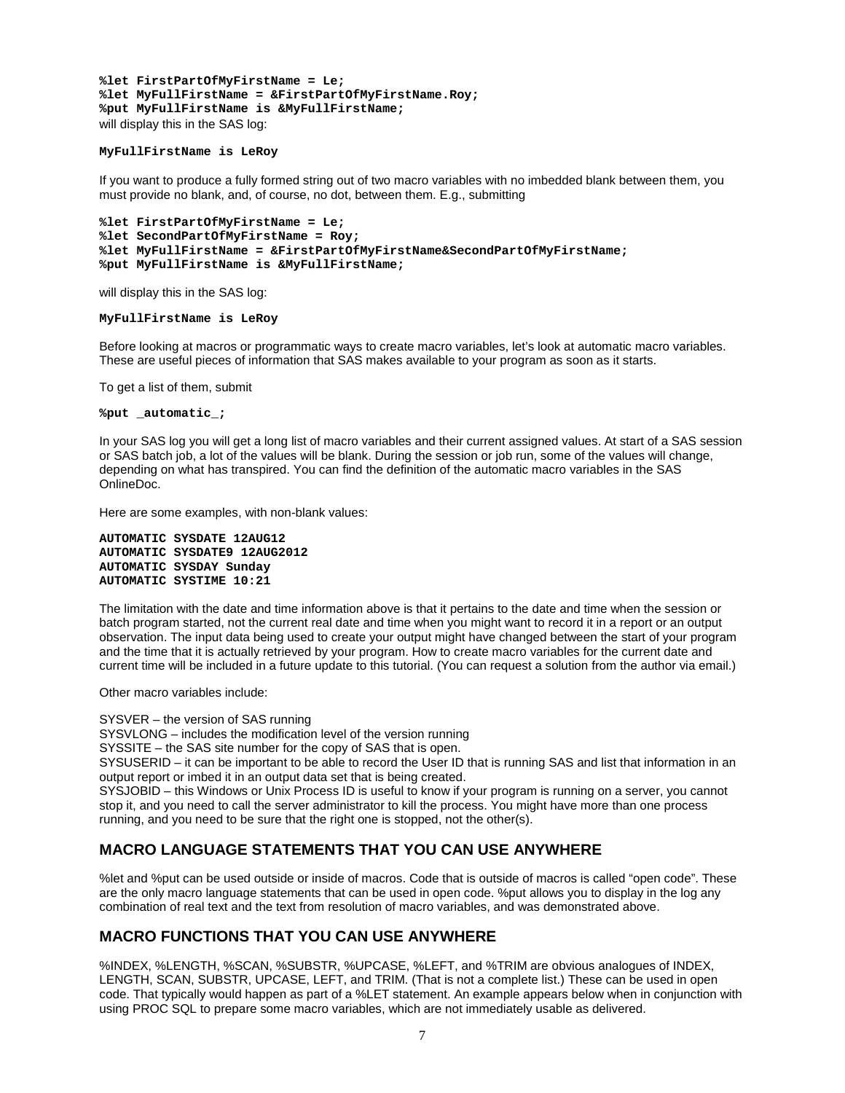**%let FirstPartOfMyFirstName = Le; %let MyFullFirstName = &FirstPartOfMyFirstName.Roy; %put MyFullFirstName is &MyFullFirstName;** will display this in the SAS log:

#### **MyFullFirstName is LeRoy**

If you want to produce a fully formed string out of two macro variables with no imbedded blank between them, you must provide no blank, and, of course, no dot, between them. E.g., submitting

```
%let FirstPartOfMyFirstName = Le;
%let SecondPartOfMyFirstName = Roy;
%let MyFullFirstName = &FirstPartOfMyFirstName&SecondPartOfMyFirstName;
%put MyFullFirstName is &MyFullFirstName;
```
will display this in the SAS log:

#### **MyFullFirstName is LeRoy**

Before looking at macros or programmatic ways to create macro variables, let's look at automatic macro variables. These are useful pieces of information that SAS makes available to your program as soon as it starts.

To get a list of them, submit

**%put \_automatic\_;**

In your SAS log you will get a long list of macro variables and their current assigned values. At start of a SAS session or SAS batch job, a lot of the values will be blank. During the session or job run, some of the values will change, depending on what has transpired. You can find the definition of the automatic macro variables in the SAS OnlineDoc.

Here are some examples, with non-blank values:

```
AUTOMATIC SYSDATE 12AUG12
AUTOMATIC SYSDATE9 12AUG2012
AUTOMATIC SYSDAY Sunday
AUTOMATIC SYSTIME 10:21
```
The limitation with the date and time information above is that it pertains to the date and time when the session or batch program started, not the current real date and time when you might want to record it in a report or an output observation. The input data being used to create your output might have changed between the start of your program and the time that it is actually retrieved by your program. How to create macro variables for the current date and current time will be included in a future update to this tutorial. (You can request a solution from the author via email.)

Other macro variables include:

SYSVER – the version of SAS running SYSVLONG – includes the modification level of the version running SYSSITE – the SAS site number for the copy of SAS that is open. SYSUSERID – it can be important to be able to record the User ID that is running SAS and list that information in an output report or imbed it in an output data set that is being created. SYSJOBID – this Windows or Unix Process ID is useful to know if your program is running on a server, you cannot stop it, and you need to call the server administrator to kill the process. You might have more than one process running, and you need to be sure that the right one is stopped, not the other(s).

# **MACRO LANGUAGE STATEMENTS THAT YOU CAN USE ANYWHERE**

%let and %put can be used outside or inside of macros. Code that is outside of macros is called "open code". These are the only macro language statements that can be used in open code. %put allows you to display in the log any combination of real text and the text from resolution of macro variables, and was demonstrated above.

## **MACRO FUNCTIONS THAT YOU CAN USE ANYWHERE**

%INDEX, %LENGTH, %SCAN, %SUBSTR, %UPCASE, %LEFT, and %TRIM are obvious analogues of INDEX, LENGTH, SCAN, SUBSTR, UPCASE, LEFT, and TRIM. (That is not a complete list.) These can be used in open code. That typically would happen as part of a %LET statement. An example appears below when in conjunction with using PROC SQL to prepare some macro variables, which are not immediately usable as delivered.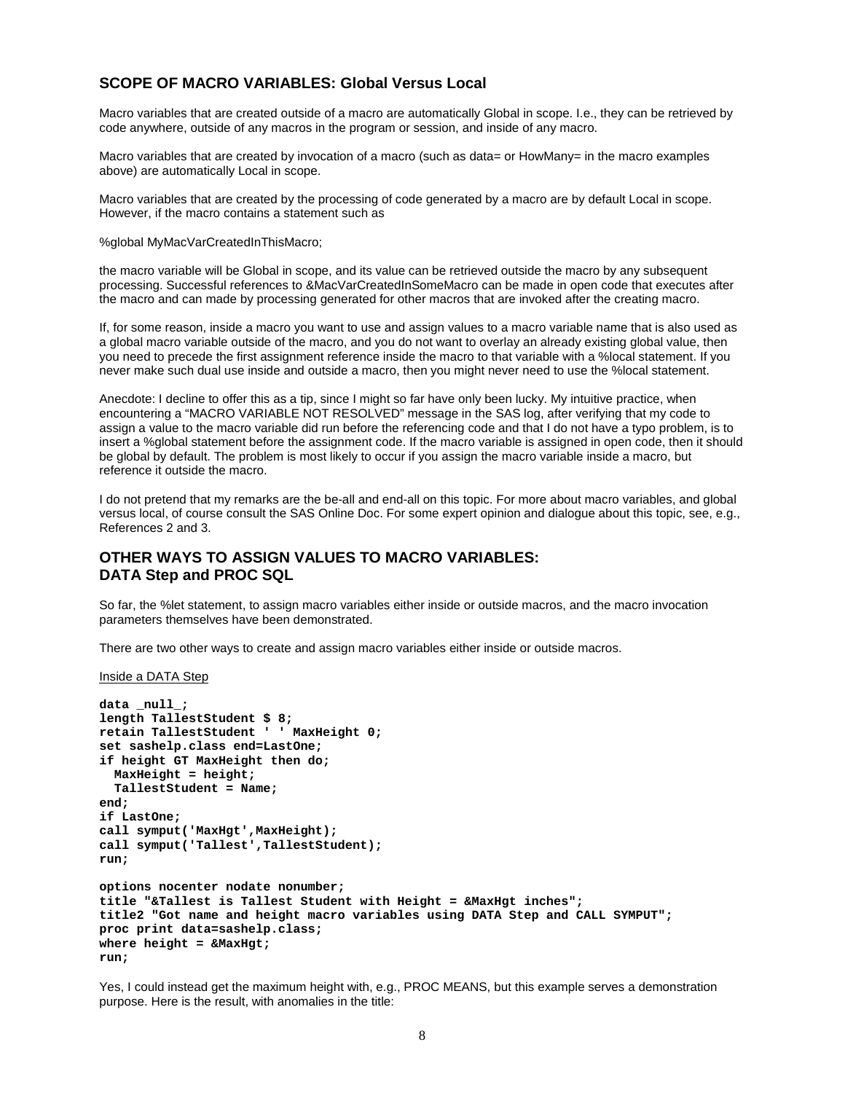### **SCOPE OF MACRO VARIABLES: Global Versus Local**

Macro variables that are created outside of a macro are automatically Global in scope. I.e., they can be retrieved by code anywhere, outside of any macros in the program or session, and inside of any macro.

Macro variables that are created by invocation of a macro (such as data = or HowMany= in the macro examples above) are automatically Local in scope.

Macro variables that are created by the processing of code generated by a macro are by default Local in scope. However, if the macro contains a statement such as

%global MyMacVarCreatedInThisMacro;

the macro variable will be Global in scope, and its value can be retrieved outside the macro by any subsequent processing. Successful references to &MacVarCreatedInSomeMacro can be made in open code that executes after the macro and can made by processing generated for other macros that are invoked after the creating macro.

If, for some reason, inside a macro you want to use and assign values to a macro variable name that is also used as a global macro variable outside of the macro, and you do not want to overlay an already existing global value, then you need to precede the first assignment reference inside the macro to that variable with a %local statement. If you never make such dual use inside and outside a macro, then you might never need to use the %local statement.

Anecdote: I decline to offer this as a tip, since I might so far have only been lucky. My intuitive practice, when encountering a "MACRO VARIABLE NOT RESOLVED" message in the SAS log, after verifying that my code to assign a value to the macro variable did run before the referencing code and that I do not have a typo problem, is to insert a %global statement before the assignment code. If the macro variable is assigned in open code, then it should be global by default. The problem is most likely to occur if you assign the macro variable inside a macro, but reference it outside the macro.

I do not pretend that my remarks are the be-all and end-all on this topic. For more about macro variables, and global versus local, of course consult the SAS Online Doc. For some expert opinion and dialogue about this topic, see, e.g., References 2 and 3.

## **OTHER WAYS TO ASSIGN VALUES TO MACRO VARIABLES: DATA Step and PROC SQL**

So far, the %let statement, to assign macro variables either inside or outside macros, and the macro invocation parameters themselves have been demonstrated.

There are two other ways to create and assign macro variables either inside or outside macros.

Inside a DATA Step

```
data null;
length TallestStudent $ 8;
retain TallestStudent ' ' MaxHeight 0;
set sashelp.class end=LastOne;
if height GT MaxHeight then do;
  MaxHeight = height;
  TallestStudent = Name;
end;
if LastOne;
call symput('MaxHgt',MaxHeight);
call symput('Tallest',TallestStudent);
run;
options nocenter nodate nonumber;
title "&Tallest is Tallest Student with Height = &MaxHgt inches";
title2 "Got name and height macro variables using DATA Step and CALL SYMPUT";
proc print data=sashelp.class;
where height = &MaxHgt;
run;
```
Yes, I could instead get the maximum height with, e.g., PROC MEANS, but this example serves a demonstration purpose. Here is the result, with anomalies in the title: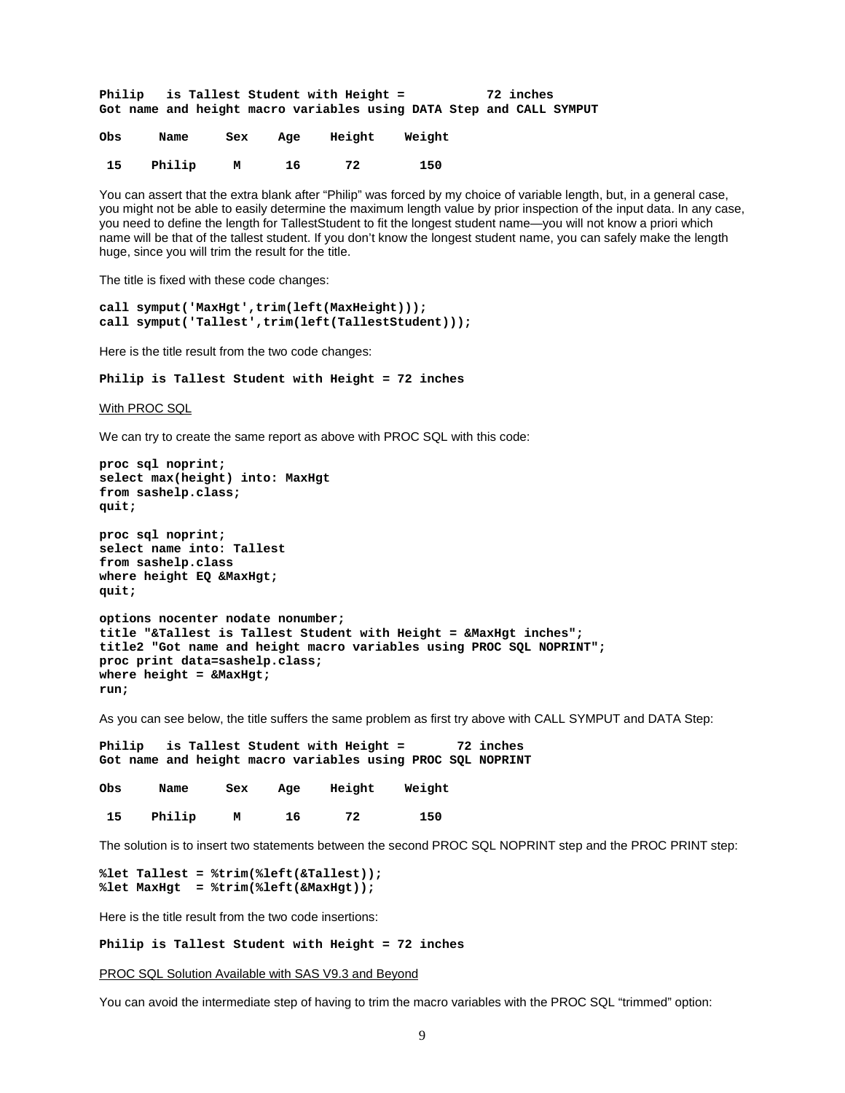**Philip is Tallest Student with Height = 72 inches Got name and height macro variables using DATA Step and CALL SYMPUT**

| Obs | Name   | Sex | Age | Height | Weight |
|-----|--------|-----|-----|--------|--------|
| 15  | Philip | М   | 16  | 72     | 150    |

You can assert that the extra blank after "Philip" was forced by my choice of variable length, but, in a general case, you might not be able to easily determine the maximum length value by prior inspection of the input data. In any case, you need to define the length for TallestStudent to fit the longest student name—you will not know a priori which name will be that of the tallest student. If you don't know the longest student name, you can safely make the length huge, since you will trim the result for the title.

The title is fixed with these code changes:

```
call symput('MaxHgt',trim(left(MaxHeight)));
call symput('Tallest',trim(left(TallestStudent)));
```
Here is the title result from the two code changes:

**Philip is Tallest Student with Height = 72 inches**

With PROC SQL

We can try to create the same report as above with PROC SQL with this code:

```
proc sql noprint;
select max(height) into: MaxHgt
from sashelp.class;
quit;
proc sql noprint;
select name into: Tallest
from sashelp.class
where height EQ &MaxHgt;
quit;
options nocenter nodate nonumber;
title "&Tallest is Tallest Student with Height = &MaxHgt inches";
title2 "Got name and height macro variables using PROC SQL NOPRINT";
proc print data=sashelp.class;
where height = &MaxHgt;
run;
```
As you can see below, the title suffers the same problem as first try above with CALL SYMPUT and DATA Step:

**Philip is Tallest Student with Height = 72 inches Got name and height macro variables using PROC SQL NOPRINT**

| Obs | Name   | Sex | Age | Height | Weight |
|-----|--------|-----|-----|--------|--------|
| 15  | Philip | М   | 16  | 72     | 150    |

The solution is to insert two statements between the second PROC SQL NOPRINT step and the PROC PRINT step:

```
%let Tallest = %trim(%left(&Tallest));
%let MaxHgt = %trim(%left(&MaxHgt));
```
Here is the title result from the two code insertions:

**Philip is Tallest Student with Height = 72 inches**

PROC SQL Solution Available with SAS V9.3 and Beyond

You can avoid the intermediate step of having to trim the macro variables with the PROC SQL "trimmed" option: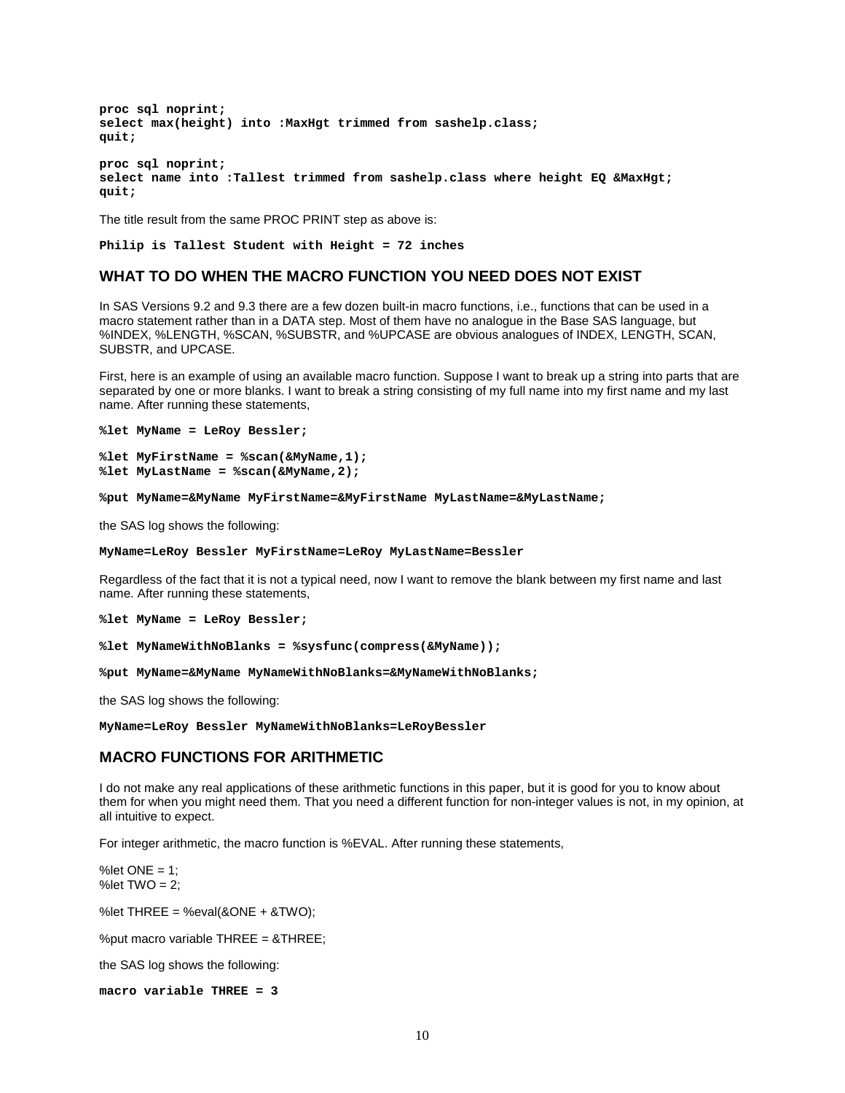**proc sql noprint; select max(height) into :MaxHgt trimmed from sashelp.class; quit; proc sql noprint; select name into :Tallest trimmed from sashelp.class where height EQ &MaxHgt; quit;**

The title result from the same PROC PRINT step as above is:

**Philip is Tallest Student with Height = 72 inches**

### **WHAT TO DO WHEN THE MACRO FUNCTION YOU NEED DOES NOT EXIST**

In SAS Versions 9.2 and 9.3 there are a few dozen built-in macro functions, i.e., functions that can be used in a macro statement rather than in a DATA step. Most of them have no analogue in the Base SAS language, but %INDEX, %LENGTH, %SCAN, %SUBSTR, and %UPCASE are obvious analogues of INDEX, LENGTH, SCAN, SUBSTR, and UPCASE.

First, here is an example of using an available macro function. Suppose I want to break up a string into parts that are separated by one or more blanks. I want to break a string consisting of my full name into my first name and my last name. After running these statements,

```
%let MyName = LeRoy Bessler;
```

```
%let MyFirstName = %scan(&MyName,1);
%let MyLastName = %scan(&MyName,2);
```
**%put MyName=&MyName MyFirstName=&MyFirstName MyLastName=&MyLastName;**

the SAS log shows the following:

#### **MyName=LeRoy Bessler MyFirstName=LeRoy MyLastName=Bessler**

Regardless of the fact that it is not a typical need, now I want to remove the blank between my first name and last name. After running these statements,

**%let MyName = LeRoy Bessler;**

**%let MyNameWithNoBlanks = %sysfunc(compress(&MyName));**

**%put MyName=&MyName MyNameWithNoBlanks=&MyNameWithNoBlanks;** 

the SAS log shows the following:

**MyName=LeRoy Bessler MyNameWithNoBlanks=LeRoyBessler**

#### **MACRO FUNCTIONS FOR ARITHMETIC**

I do not make any real applications of these arithmetic functions in this paper, but it is good for you to know about them for when you might need them. That you need a different function for non-integer values is not, in my opinion, at all intuitive to expect.

For integer arithmetic, the macro function is %EVAL. After running these statements,

% let  $ONE = 1$ : % let  $TWO = 2$ ;

%let THREE = %eval(&ONE + &TWO);

%put macro variable THREE = &THREE;

the SAS log shows the following:

**macro variable THREE = 3**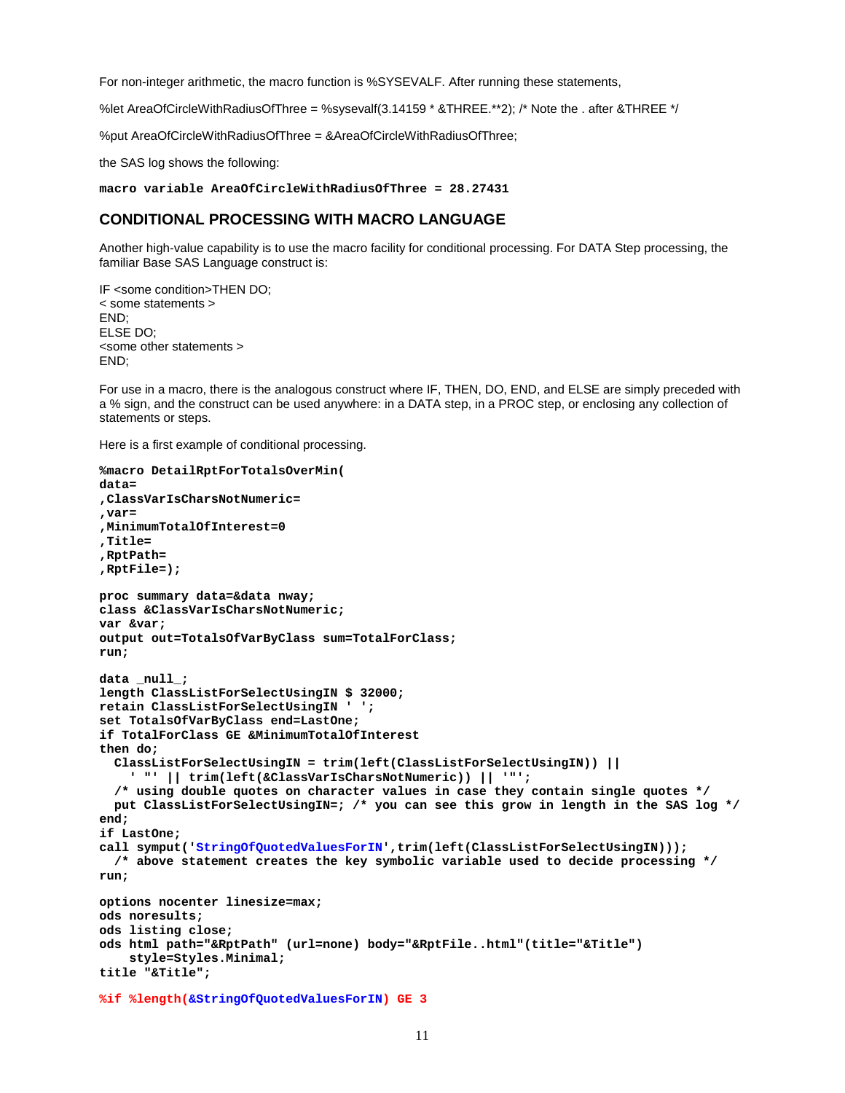For non-integer arithmetic, the macro function is %SYSEVALF. After running these statements,

%let AreaOfCircleWithRadiusOfThree = %sysevalf(3.14159 \* &THREE.\*\*2); /\* Note the . after &THREE \*/

%put AreaOfCircleWithRadiusOfThree = &AreaOfCircleWithRadiusOfThree;

the SAS log shows the following:

**macro variable AreaOfCircleWithRadiusOfThree = 28.27431**

### **CONDITIONAL PROCESSING WITH MACRO LANGUAGE**

Another high-value capability is to use the macro facility for conditional processing. For DATA Step processing, the familiar Base SAS Language construct is:

IF <some condition>THEN DO; < some statements > END; ELSE DO; <some other statements > END;

For use in a macro, there is the analogous construct where IF, THEN, DO, END, and ELSE are simply preceded with a % sign, and the construct can be used anywhere: in a DATA step, in a PROC step, or enclosing any collection of statements or steps.

Here is a first example of conditional processing.

```
%macro DetailRptForTotalsOverMin(
data=
,ClassVarIsCharsNotNumeric=
,var=
,MinimumTotalOfInterest=0
,Title=
,RptPath=
,RptFile=);
proc summary data=&data nway;
class &ClassVarIsCharsNotNumeric;
var &var;
output out=TotalsOfVarByClass sum=TotalForClass;
run;
data _null_;
length ClassListForSelectUsingIN $ 32000;
retain ClassListForSelectUsingIN ' ';
set TotalsOfVarByClass end=LastOne;
if TotalForClass GE &MinimumTotalOfInterest
then do;
   ClassListForSelectUsingIN = trim(left(ClassListForSelectUsingIN)) ||
     ' "' || trim(left(&ClassVarIsCharsNotNumeric)) || '"';
   /* using double quotes on character values in case they contain single quotes */
  put ClassListForSelectUsingIN=; /* you can see this grow in length in the SAS log */
end;
if LastOne;
call symput('StringOfQuotedValuesForIN',trim(left(ClassListForSelectUsingIN)));
  /* above statement creates the key symbolic variable used to decide processing */ 
run;
options nocenter linesize=max;
ods noresults;
ods listing close;
ods html path="&RptPath" (url=none) body="&RptFile..html"(title="&Title")
     style=Styles.Minimal;
title "&Title";
%if %length(&StringOfQuotedValuesForIN) GE 3
```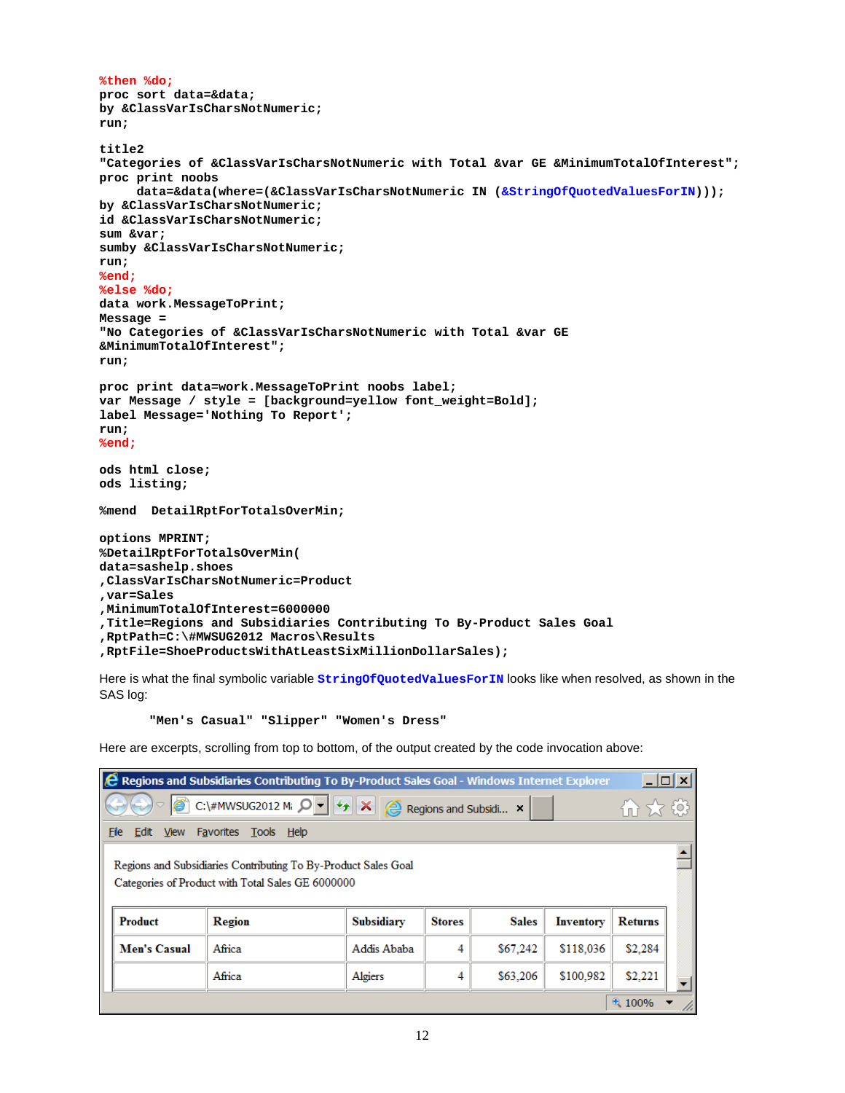```
%then %do;
proc sort data=&data;
by &ClassVarIsCharsNotNumeric;
run;
title2
"Categories of &ClassVarIsCharsNotNumeric with Total &var GE &MinimumTotalOfInterest";
proc print noobs
      data=&data(where=(&ClassVarIsCharsNotNumeric IN (&StringOfQuotedValuesForIN)));
by &ClassVarIsCharsNotNumeric;
id &ClassVarIsCharsNotNumeric;
sum &var;
sumby &ClassVarIsCharsNotNumeric;
run;
%end;
%else %do;
data work.MessageToPrint;
Message =
"No Categories of &ClassVarIsCharsNotNumeric with Total &var GE 
&MinimumTotalOfInterest";
run;
proc print data=work.MessageToPrint noobs label;
var Message / style = [background=yellow font_weight=Bold];
label Message='Nothing To Report';
run;
%end;
ods html close;
ods listing;
%mend DetailRptForTotalsOverMin;
options MPRINT;
%DetailRptForTotalsOverMin(
data=sashelp.shoes
,ClassVarIsCharsNotNumeric=Product
,var=Sales
,MinimumTotalOfInterest=6000000
,Title=Regions and Subsidiaries Contributing To By-Product Sales Goal
,RptPath=C:\#MWSUG2012 Macros\Results
,RptFile=ShoeProductsWithAtLeastSixMillionDollarSales);
```
Here is what the final symbolic variable **StringOfQuotedValuesForIN** looks like when resolved, as shown in the SAS log:

#### **"Men's Casual" "Slipper" "Women's Dress"**

Here are excerpts, scrolling from top to bottom, of the output created by the code invocation above:

| <b>C</b> Regions and Subsidiaries Contributing To By-Product Sales Goal - Windows Internet Explorer                   |                                                                                                                     |                   |               |              |           |                |  |  |  |
|-----------------------------------------------------------------------------------------------------------------------|---------------------------------------------------------------------------------------------------------------------|-------------------|---------------|--------------|-----------|----------------|--|--|--|
| C:\#MWSUG2012 M: $\left \mathcal{Q}\right $ + $\left \mathcal{L}_{\uparrow}\right $ X<br>Regions and Subsidi ×<br>血太鼓 |                                                                                                                     |                   |               |              |           |                |  |  |  |
| File<br>Favorites Tools Help<br>Edit View                                                                             |                                                                                                                     |                   |               |              |           |                |  |  |  |
|                                                                                                                       | Regions and Subsidiaries Contributing To By-Product Sales Goal<br>Categories of Product with Total Sales GE 6000000 |                   |               |              |           |                |  |  |  |
| Product                                                                                                               | Region                                                                                                              | <b>Subsidiary</b> | <b>Stores</b> | <b>Sales</b> | Inventory | <b>Returns</b> |  |  |  |
| Men's Casual                                                                                                          | Africa                                                                                                              | Addis Ababa       | 4             | \$67,242     | \$118,036 | \$2,284        |  |  |  |
|                                                                                                                       | \$100,982<br>\$2,221<br>Africa<br>\$63,206<br>Algiers<br>4                                                          |                   |               |              |           |                |  |  |  |
|                                                                                                                       |                                                                                                                     |                   |               |              |           | 4100%          |  |  |  |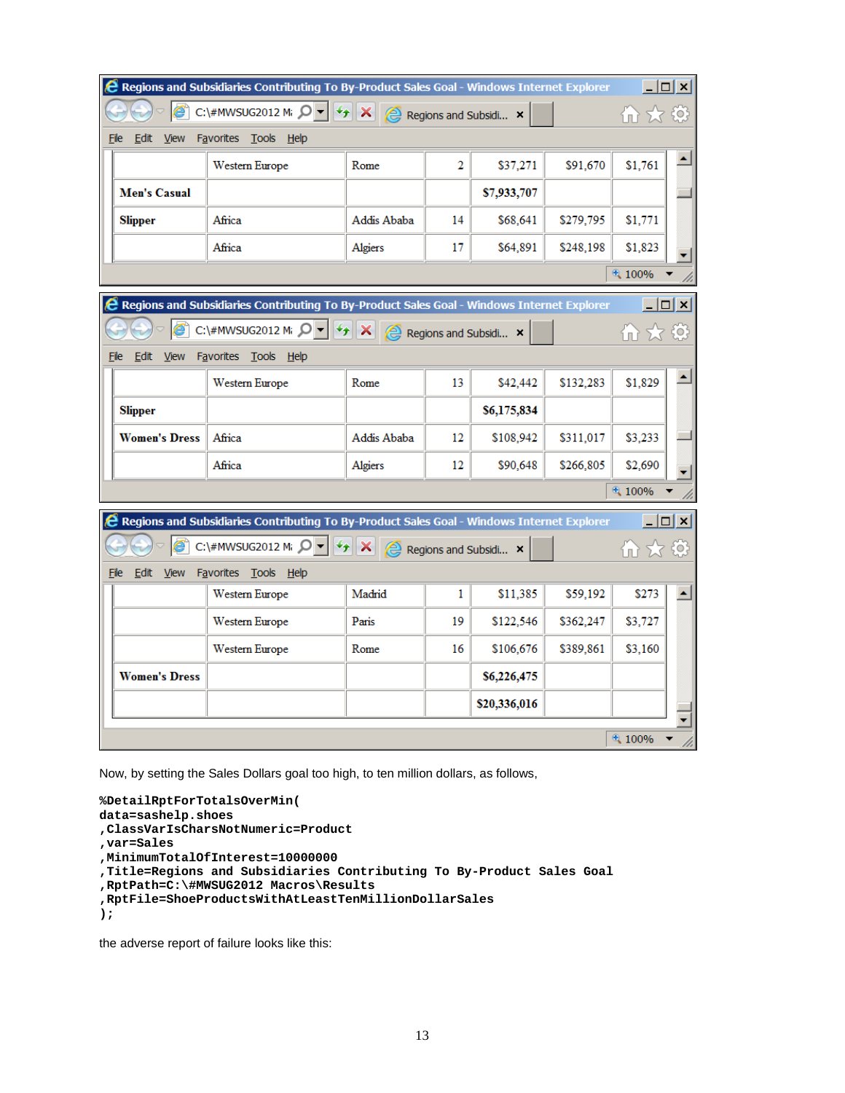|                             | <b>C</b> Regions and Subsidiaries Contributing To By-Product Sales Goal - Windows Internet Explorer     |             |                |                       |           | $\Box$ $\Box$ $\times$ |  |
|-----------------------------|---------------------------------------------------------------------------------------------------------|-------------|----------------|-----------------------|-----------|------------------------|--|
|                             | C:\#MWSUG2012 M; $\mathcal{Q}$ $\mathbf{ \cdot }$<br>$\overline{r}$                                     | ×<br>⊜      |                | Regions and Subsidi × |           | かみじ                    |  |
| Edit<br>File<br><b>View</b> | Favorites Tools Help                                                                                    |             |                |                       |           |                        |  |
|                             | Western Europe                                                                                          | Rome        | $\overline{2}$ | \$37,271              | \$91,670  | \$1,761                |  |
| Men's Casual                |                                                                                                         |             |                | \$7,933,707           |           |                        |  |
| <b>Slipper</b>              | Africa                                                                                                  | Addis Ababa | 14             | \$68,641              | \$279,795 | \$1,771                |  |
|                             | Africa                                                                                                  | Algiers     | 17             | \$64,891              | \$248,198 | \$1,823                |  |
|                             |                                                                                                         |             |                |                       |           | 4100%                  |  |
|                             | <b>&amp; Regions and Subsidiaries Contributing To By-Product Sales Goal - Windows Internet Explorer</b> |             |                |                       |           | $ \Box$ $\times$       |  |
|                             | C:\#MWSUG2012 M; $\mathcal{Q}$ $\mathbf{v}$<br>$\overline{4}$                                           | ×<br>(≙     |                | Regions and Subsidi × |           | 11 사 @                 |  |
| File<br>Edit<br><b>View</b> | Favorites Tools<br><u>Help</u>                                                                          |             |                |                       |           |                        |  |
|                             | Western Europe                                                                                          | Rome        | 13             | \$42,442              | \$132,283 | \$1,829                |  |
| <b>Slipper</b>              |                                                                                                         |             |                | \$6,175,834           |           |                        |  |
| <b>Women's Dress</b>        | Africa                                                                                                  | Addis Ababa | 12             | \$108,942             | \$311,017 | \$3,233                |  |
|                             | Africa                                                                                                  | Algiers     | 12             | \$90,648              | \$266,805 | \$2,690                |  |
|                             |                                                                                                         |             |                |                       |           | 4100%                  |  |
|                             | <b>&amp; Regions and Subsidiaries Contributing To By-Product Sales Goal - Windows Internet Explorer</b> |             |                |                       |           | $ \Box$ $\times$       |  |
|                             | C:\#MWSUG2012 Mi Q +<br>++                                                                              | ×<br>(e)    |                | Regions and Subsidi × |           | かみの                    |  |
| File<br>Edit<br>View        | <b>Favorites</b><br><b>Tools</b><br>$He$ lp                                                             |             |                |                       |           |                        |  |
|                             | Western Europe                                                                                          | Madrid      | 1              | \$11,385              | \$59,192  | \$273                  |  |
|                             | Western Europe                                                                                          | Paris       | 19             | \$122,546             | \$362,247 | \$3,727                |  |
|                             | Western Europe                                                                                          | Rome        | 16             | \$106,676             | \$389,861 | \$3,160                |  |
| <b>Women's Dress</b>        |                                                                                                         |             |                | \$6,226,475           |           |                        |  |
|                             |                                                                                                         |             |                | \$20,336,016          |           |                        |  |
|                             |                                                                                                         |             |                |                       |           | 4 100%                 |  |

Now, by setting the Sales Dollars goal too high, to ten million dollars, as follows,

```
%DetailRptForTotalsOverMin(
data=sashelp.shoes
,ClassVarIsCharsNotNumeric=Product
,var=Sales
,MinimumTotalOfInterest=10000000
,Title=Regions and Subsidiaries Contributing To By-Product Sales Goal
,RptPath=C:\#MWSUG2012 Macros\Results
,RptFile=ShoeProductsWithAtLeastTenMillionDollarSales
);
```
the adverse report of failure looks like this: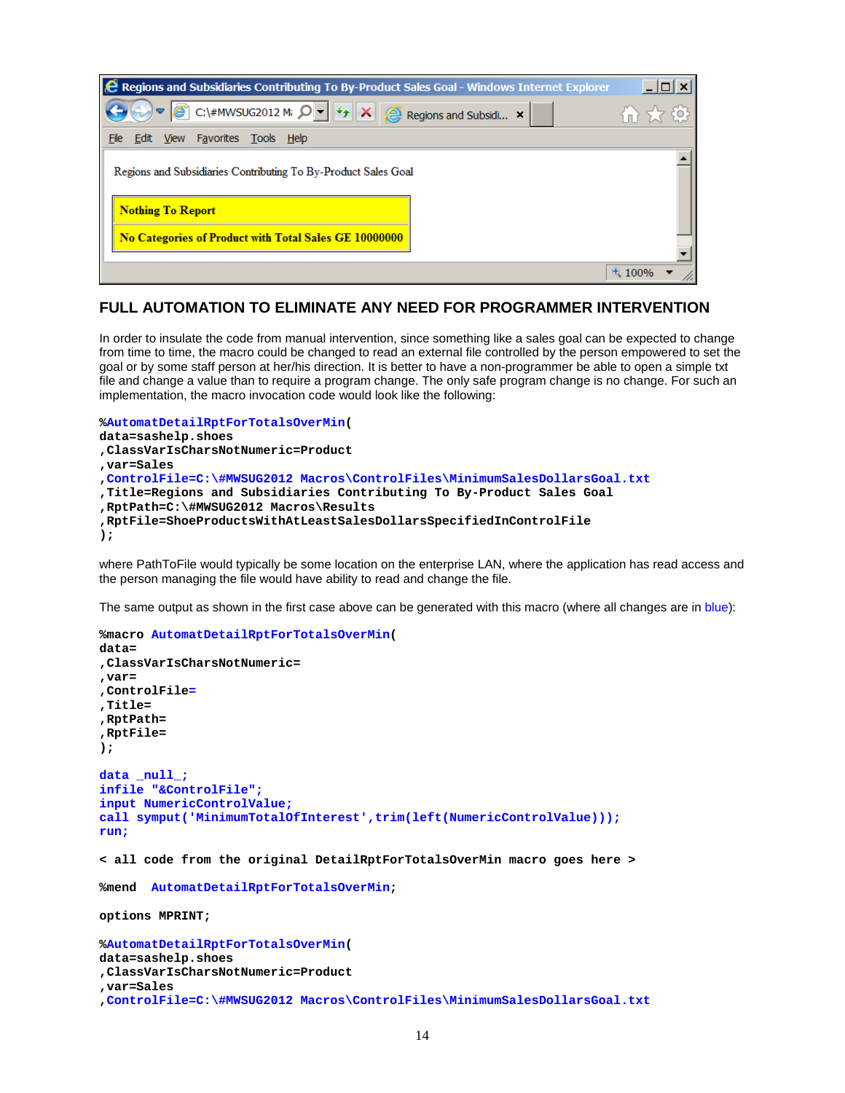| <b>2</b> Regions and Subsidiaries Contributing To By-Product Sales Goal - Windows Internet Explorer |  |
|-----------------------------------------------------------------------------------------------------|--|
| Ø<br>C:\#MWSUG2012 Mi $\mathcal{Q}$ v $  \mathcal{L}  $ X $  \mathcal{L}  $ Regions and Subsidi x   |  |
| File<br>Edit View Favorites Tools Help                                                              |  |
| Regions and Subsidiaries Contributing To By-Product Sales Goal                                      |  |
| <b>Nothing To Report</b>                                                                            |  |
| No Categories of Product with Total Sales GE 10000000                                               |  |
|                                                                                                     |  |

## **FULL AUTOMATION TO ELIMINATE ANY NEED FOR PROGRAMMER INTERVENTION**

In order to insulate the code from manual intervention, since something like a sales goal can be expected to change from time to time, the macro could be changed to read an external file controlled by the person empowered to set the goal or by some staff person at her/his direction. It is better to have a non-programmer be able to open a simple txt file and change a value than to require a program change. The only safe program change is no change. For such an implementation, the macro invocation code would look like the following:

```
%AutomatDetailRptForTotalsOverMin(
data=sashelp.shoes
,ClassVarIsCharsNotNumeric=Product
,var=Sales
,ControlFile=C:\#MWSUG2012 Macros\ControlFiles\MinimumSalesDollarsGoal.txt
,Title=Regions and Subsidiaries Contributing To By-Product Sales Goal
,RptPath=C:\#MWSUG2012 Macros\Results
,RptFile=ShoeProductsWithAtLeastSalesDollarsSpecifiedInControlFile
);
```
where PathToFile would typically be some location on the enterprise LAN, where the application has read access and the person managing the file would have ability to read and change the file.

The same output as shown in the first case above can be generated with this macro (where all changes are in blue):

```
%macro AutomatDetailRptForTotalsOverMin(
data=
,ClassVarIsCharsNotNumeric=
,var=
,ControlFile=
,Title=
,RptPath=
,RptFile=
);
data _null_;
infile "&ControlFile";
input NumericControlValue;
call symput('MinimumTotalOfInterest',trim(left(NumericControlValue)));
run;
< all code from the original DetailRptForTotalsOverMin macro goes here >
%mend AutomatDetailRptForTotalsOverMin;
options MPRINT;
%AutomatDetailRptForTotalsOverMin(
data=sashelp.shoes
,ClassVarIsCharsNotNumeric=Product
```

```
,var=Sales
```

```
,ControlFile=C:\#MWSUG2012 Macros\ControlFiles\MinimumSalesDollarsGoal.txt
```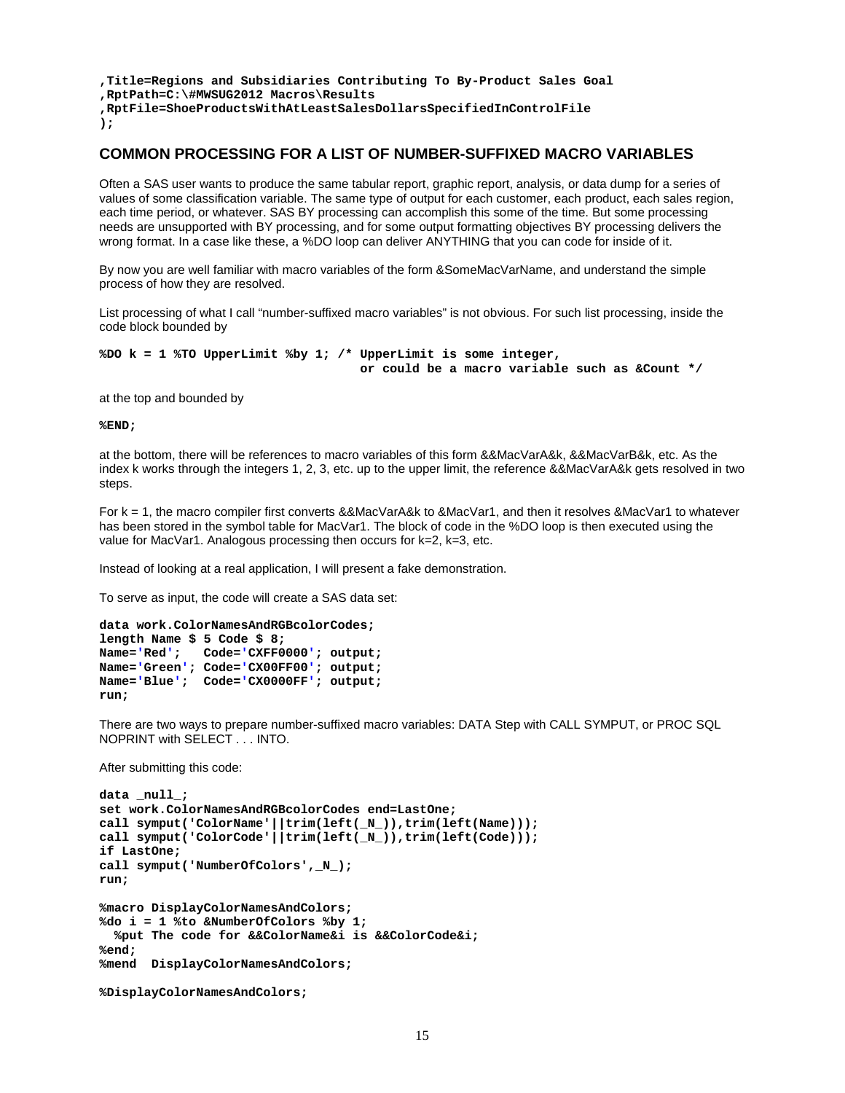```
,Title=Regions and Subsidiaries Contributing To By-Product Sales Goal
,RptPath=C:\#MWSUG2012 Macros\Results
,RptFile=ShoeProductsWithAtLeastSalesDollarsSpecifiedInControlFile
);
```
### **COMMON PROCESSING FOR A LIST OF NUMBER-SUFFIXED MACRO VARIABLES**

Often a SAS user wants to produce the same tabular report, graphic report, analysis, or data dump for a series of values of some classification variable. The same type of output for each customer, each product, each sales region, each time period, or whatever. SAS BY processing can accomplish this some of the time. But some processing needs are unsupported with BY processing, and for some output formatting objectives BY processing delivers the wrong format. In a case like these, a %DO loop can deliver ANYTHING that you can code for inside of it.

By now you are well familiar with macro variables of the form &SomeMacVarName, and understand the simple process of how they are resolved.

List processing of what I call "number-suffixed macro variables" is not obvious. For such list processing, inside the code block bounded by

**%DO k = 1 %TO UpperLimit %by 1; /\* UpperLimit is some integer, or could be a macro variable such as &Count \*/**

at the top and bounded by

**%END;**

at the bottom, there will be references to macro variables of this form &&MacVarA&k, &&MacVarB&k, etc. As the index k works through the integers 1, 2, 3, etc. up to the upper limit, the reference &&MacVarA&k gets resolved in two steps.

For k = 1, the macro compiler first converts &&MacVarA&k to &MacVar1, and then it resolves &MacVar1 to whatever has been stored in the symbol table for MacVar1. The block of code in the %DO loop is then executed using the value for MacVar1. Analogous processing then occurs for k=2, k=3, etc.

Instead of looking at a real application, I will present a fake demonstration.

To serve as input, the code will create a SAS data set:

```
data work.ColorNamesAndRGBcolorCodes;
length Name $ 5 Code $ 8;
Name='Red'; Code='CXFF0000'; output;
Name='Green'; Code='CX00FF00'; output; 
Name='Blue'; Code='CX0000FF'; output; 
run;
```
There are two ways to prepare number-suffixed macro variables: DATA Step with CALL SYMPUT, or PROC SQL NOPRINT with SELECT . . . INTO.

After submitting this code:

```
data _null_;
set work.ColorNamesAndRGBcolorCodes end=LastOne;
call symput('ColorName'||trim(left(_N_)),trim(left(Name)));
call symput('ColorCode'||trim(left(_N_)),trim(left(Code)));
if LastOne;
call symput('NumberOfColors',_N_);
run;
%macro DisplayColorNamesAndColors;
%do i = 1 %to &NumberOfColors %by 1;
  %put The code for &&ColorName&i is &&ColorCode&i;
%end;
%mend DisplayColorNamesAndColors;
%DisplayColorNamesAndColors;
```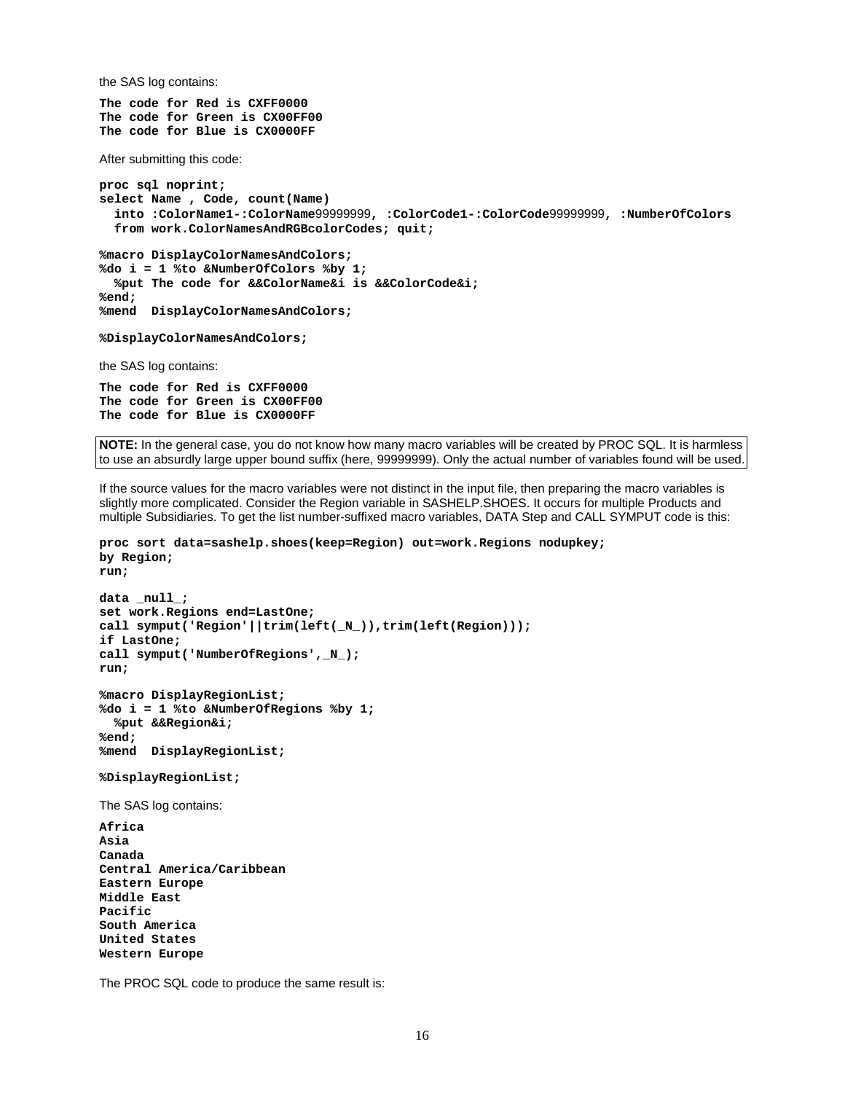the SAS log contains:

**The code for Red is CXFF0000 The code for Green is CX00FF00 The code for Blue is CX0000FF**

After submitting this code:

```
proc sql noprint;
select Name , Code, count(Name)
   into :ColorName1-:ColorName99999999, :ColorCode1-:ColorCode99999999, :NumberOfColors
   from work.ColorNamesAndRGBcolorCodes; quit;
```
**%macro DisplayColorNamesAndColors; %do i = 1 %to &NumberOfColors %by 1; %put The code for &&ColorName&i is &&ColorCode&i; %end; %mend DisplayColorNamesAndColors;**

**%DisplayColorNamesAndColors;**

the SAS log contains:

**The code for Red is CXFF0000 The code for Green is CX00FF00 The code for Blue is CX0000FF**

**NOTE:** In the general case, you do not know how many macro variables will be created by PROC SQL. It is harmless to use an absurdly large upper bound suffix (here, 99999999). Only the actual number of variables found will be used.

If the source values for the macro variables were not distinct in the input file, then preparing the macro variables is slightly more complicated. Consider the Region variable in SASHELP.SHOES. It occurs for multiple Products and multiple Subsidiaries. To get the list number-suffixed macro variables, DATA Step and CALL SYMPUT code is this:

```
proc sort data=sashelp.shoes(keep=Region) out=work.Regions nodupkey;
by Region;
run;
```

```
data _null_;
set work.Regions end=LastOne;
call symput('Region'||trim(left(_N_)),trim(left(Region)));
if LastOne;
call symput('NumberOfRegions',_N_);
run;
%macro DisplayRegionList;
%do i = 1 %to &NumberOfRegions %by 1;
   %put &&Region&i;
%end;
%mend DisplayRegionList;
%DisplayRegionList;
The SAS log contains:
Africa
Asia
Canada
Central America/Caribbean
Eastern Europe
Middle East
Pacific
South America
United States
Western Europe
```
The PROC SQL code to produce the same result is: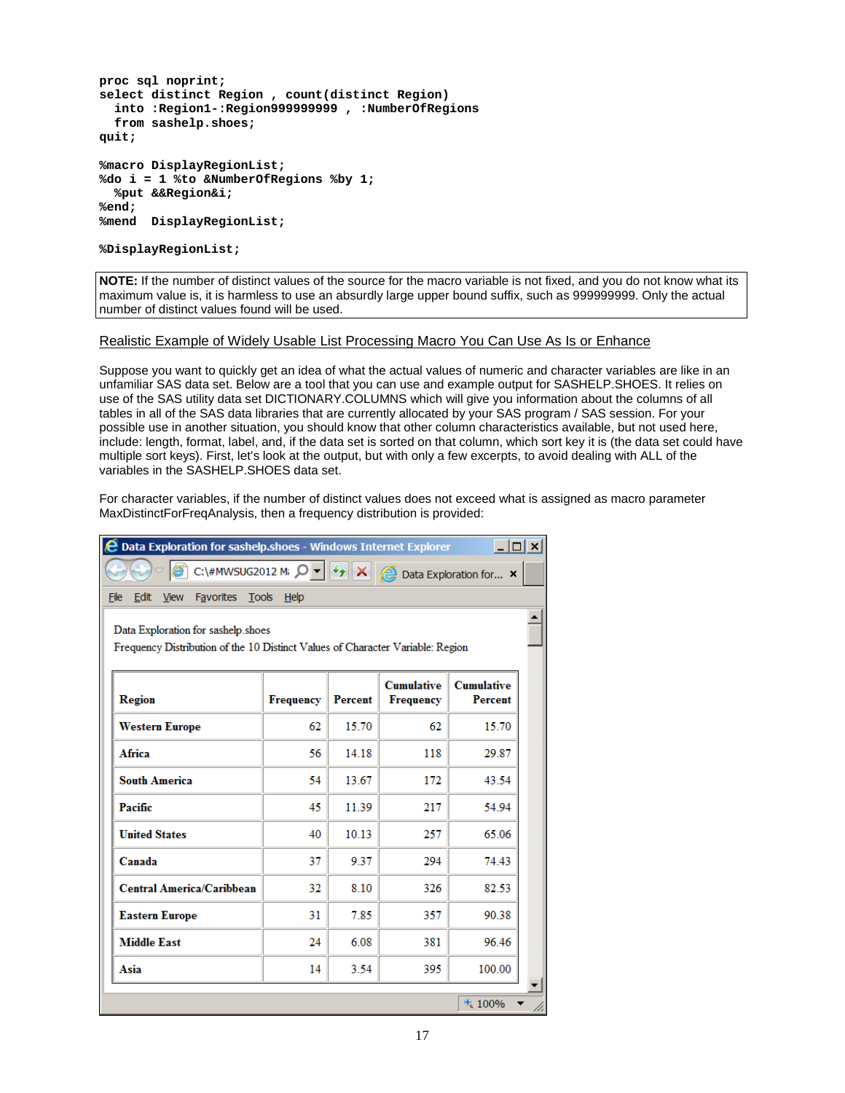```
proc sql noprint;
select distinct Region , count(distinct Region)
   into :Region1-:Region999999999 , :NumberOfRegions
   from sashelp.shoes;
quit;
%macro DisplayRegionList;
%do i = 1 %to &NumberOfRegions %by 1;
   %put &&Region&i;
%end;
%mend DisplayRegionList;
```
**%DisplayRegionList;**

**NOTE:** If the number of distinct values of the source for the macro variable is not fixed, and you do not know what its maximum value is, it is harmless to use an absurdly large upper bound suffix, such as 999999999. Only the actual number of distinct values found will be used.

### Realistic Example of Widely Usable List Processing Macro You Can Use As Is or Enhance

Suppose you want to quickly get an idea of what the actual values of numeric and character variables are like in an unfamiliar SAS data set. Below are a tool that you can use and example output for SASHELP.SHOES. It relies on use of the SAS utility data set DICTIONARY.COLUMNS which will give you information about the columns of all tables in all of the SAS data libraries that are currently allocated by your SAS program / SAS session. For your possible use in another situation, you should know that other column characteristics available, but not used here, include: length, format, label, and, if the data set is sorted on that column, which sort key it is (the data set could have multiple sort keys). First, let's look at the output, but with only a few excerpts, to avoid dealing with ALL of the variables in the SASHELP.SHOES data set.

For character variables, if the number of distinct values does not exceed what is assigned as macro parameter MaxDistinctForFreqAnalysis, then a frequency distribution is provided:

| <b>2 Data Exploration for sashelp.shoes - Windows Internet Explorer</b><br>$ \Box$ $\times$                                                           |    |              |     |        |  |  |  |  |  |
|-------------------------------------------------------------------------------------------------------------------------------------------------------|----|--------------|-----|--------|--|--|--|--|--|
| C:\#MWSUG2012 M; $\left \mathcal{Q}\right $ = $\left \left \frac{f_{\uparrow}}{f}\right $<br>$\boldsymbol{\times}$<br><b>E</b> Data Exploration for X |    |              |     |        |  |  |  |  |  |
| Favorites Tools Help<br>Edit<br><b>View</b><br>File                                                                                                   |    |              |     |        |  |  |  |  |  |
| Data Exploration for sashelp.shoes<br>Frequency Distribution of the 10 Distinct Values of Character Variable: Region                                  |    |              |     |        |  |  |  |  |  |
| <b>Cumulative</b><br><b>Cumulative</b><br>Region<br><b>Frequency</b><br><b>Percent</b><br><b>Frequency</b><br><b>Percent</b>                          |    |              |     |        |  |  |  |  |  |
| <b>Western Europe</b>                                                                                                                                 | 62 | 15.70        | 62  | 15.70  |  |  |  |  |  |
| Africa                                                                                                                                                | 56 | 14.18<br>118 |     | 29.87  |  |  |  |  |  |
| <b>South America</b>                                                                                                                                  | 54 | 13.67        | 172 | 43.54  |  |  |  |  |  |
| Pacific                                                                                                                                               | 45 | 11.39        | 217 | 54.94  |  |  |  |  |  |
| <b>United States</b>                                                                                                                                  | 40 | 10.13        | 257 | 65.06  |  |  |  |  |  |
| Canada                                                                                                                                                | 37 | 9.37         | 294 | 74.43  |  |  |  |  |  |
| <b>Central America/Caribbean</b>                                                                                                                      | 32 | 8.10         | 326 | 82.53  |  |  |  |  |  |
| <b>Eastern Europe</b>                                                                                                                                 | 31 | 7.85         | 357 | 90.38  |  |  |  |  |  |
| <b>Middle East</b>                                                                                                                                    | 24 | 6.08         | 381 | 96.46  |  |  |  |  |  |
| Asia                                                                                                                                                  | 14 | 3.54         | 395 | 100.00 |  |  |  |  |  |
|                                                                                                                                                       |    |              |     | € 100% |  |  |  |  |  |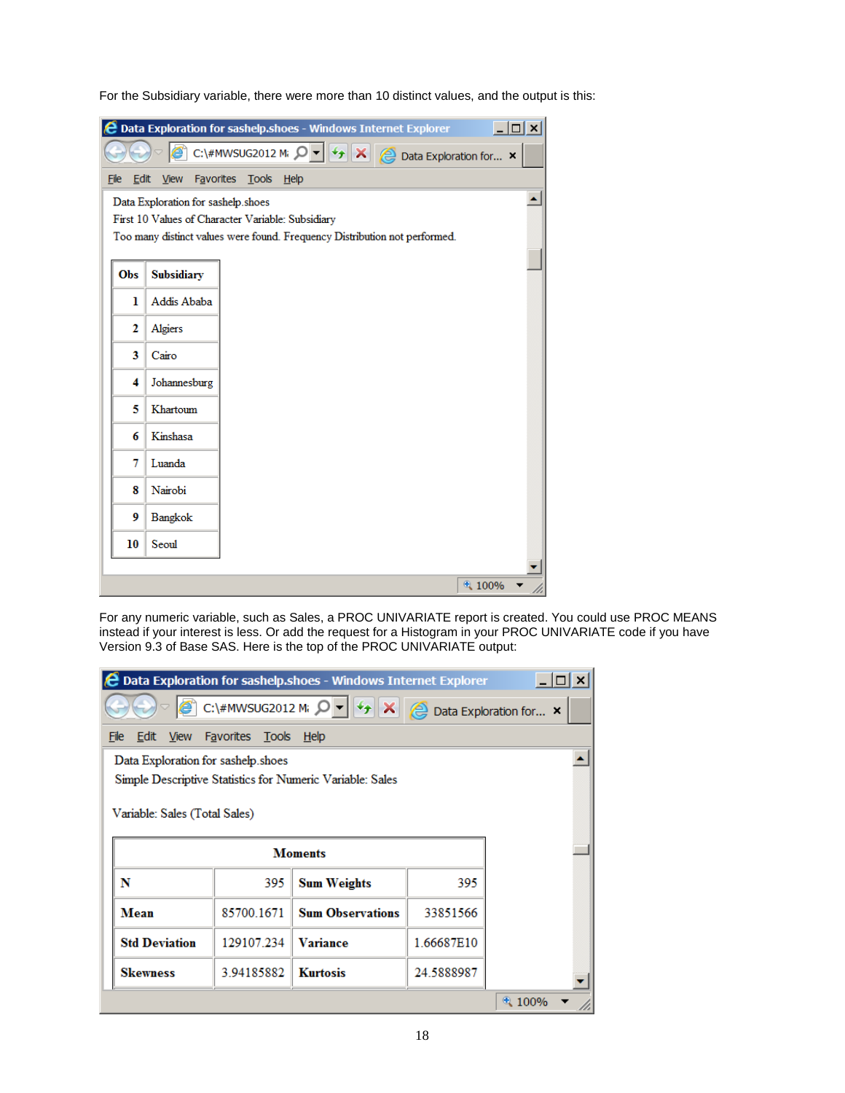For the Subsidiary variable, there were more than 10 distinct values, and the output is this:

|      |                                         | <b>2</b> Data Exploration for sashelp.shoes - Windows Internet Explorer                                                                    | $ \Box$ $\times$ |  |  |  |  |  |  |  |
|------|-----------------------------------------|--------------------------------------------------------------------------------------------------------------------------------------------|------------------|--|--|--|--|--|--|--|
|      |                                         | C:\#MWSUG2012 M; $\left \mathcal{Q}\right  = \left \left \frac{f_{\uparrow}}{f}\right  \mathbf{X}\right $<br><b>Data Exploration for</b> × |                  |  |  |  |  |  |  |  |
| File | Edit<br>View<br>Favorites Tools<br>Help |                                                                                                                                            |                  |  |  |  |  |  |  |  |
|      | Data Exploration for sashelp.shoes      |                                                                                                                                            |                  |  |  |  |  |  |  |  |
|      |                                         | First 10 Values of Character Variable: Subsidiary                                                                                          |                  |  |  |  |  |  |  |  |
|      |                                         | Too many distinct values were found. Frequency Distribution not performed.                                                                 |                  |  |  |  |  |  |  |  |
| Obs  | Subsidiary                              |                                                                                                                                            |                  |  |  |  |  |  |  |  |
| ı    | Addis Ababa                             |                                                                                                                                            |                  |  |  |  |  |  |  |  |
| 2    | Algiers                                 |                                                                                                                                            |                  |  |  |  |  |  |  |  |
| 3    | Cairo                                   |                                                                                                                                            |                  |  |  |  |  |  |  |  |
| 4    | Johannesburg                            |                                                                                                                                            |                  |  |  |  |  |  |  |  |
| 5    | Khartoum                                |                                                                                                                                            |                  |  |  |  |  |  |  |  |
| 6    | Kinshasa                                |                                                                                                                                            |                  |  |  |  |  |  |  |  |
| 7    | Luanda                                  |                                                                                                                                            |                  |  |  |  |  |  |  |  |
| 8    | Nairobi                                 |                                                                                                                                            |                  |  |  |  |  |  |  |  |
| 9    | Bangkok                                 |                                                                                                                                            |                  |  |  |  |  |  |  |  |
| 10   | Seoul                                   |                                                                                                                                            |                  |  |  |  |  |  |  |  |
|      |                                         |                                                                                                                                            |                  |  |  |  |  |  |  |  |
|      |                                         | 4100%                                                                                                                                      |                  |  |  |  |  |  |  |  |

For any numeric variable, such as Sales, a PROC UNIVARIATE report is created. You could use PROC MEANS instead if your interest is less. Or add the request for a Histogram in your PROC UNIVARIATE code if you have Version 9.3 of Base SAS. Here is the top of the PROC UNIVARIATE output:

| <b>2 Data Exploration for sashelp.shoes - Windows Internet Explorer</b>                                                                   |            |                         |            |       |  |  |  |  |
|-------------------------------------------------------------------------------------------------------------------------------------------|------------|-------------------------|------------|-------|--|--|--|--|
| C:\#MWSUG2012 M; $\left \mathcal{Q}\right $ + $\left \frac{f_{\uparrow}}{f}\right $<br>$\vert x \vert$<br><b>2</b> Data Exploration for x |            |                         |            |       |  |  |  |  |
| Edit<br><b>View</b><br>Favorites Tools<br>File<br>Help                                                                                    |            |                         |            |       |  |  |  |  |
| Data Exploration for sashelp.shoes<br>Simple Descriptive Statistics for Numeric Variable: Sales<br>Variable: Sales (Total Sales)          |            |                         |            |       |  |  |  |  |
|                                                                                                                                           |            | <b>Moments</b>          |            |       |  |  |  |  |
| N                                                                                                                                         | 395        | <b>Sum Weights</b>      | 395        |       |  |  |  |  |
| Mean                                                                                                                                      | 85700.1671 | <b>Sum Observations</b> | 33851566   |       |  |  |  |  |
| <b>Std Deviation</b><br>129107.234<br>1.66687E10<br>Variance                                                                              |            |                         |            |       |  |  |  |  |
| <b>Skewness</b>                                                                                                                           | 3.94185882 | <b>Kurtosis</b>         | 24.5888987 |       |  |  |  |  |
|                                                                                                                                           |            |                         |            | 4100% |  |  |  |  |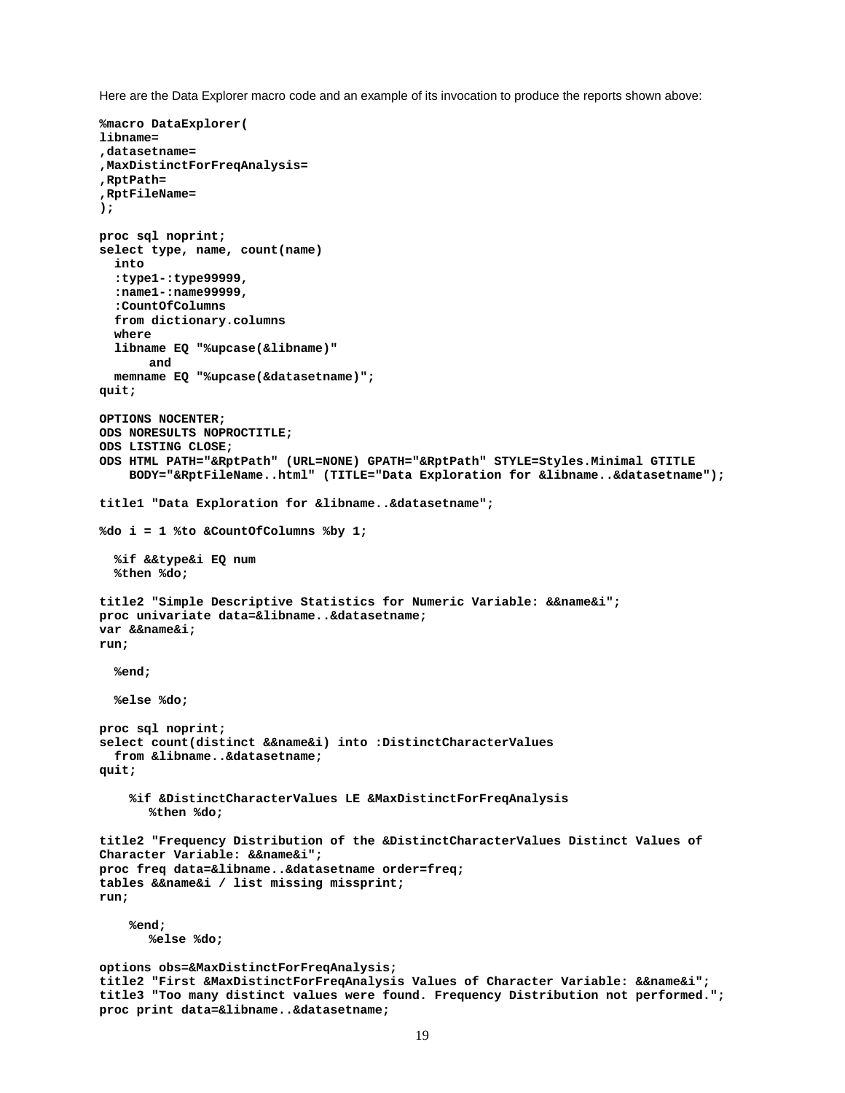Here are the Data Explorer macro code and an example of its invocation to produce the reports shown above:

```
%macro DataExplorer(
libname=
,datasetname=
,MaxDistinctForFreqAnalysis=
,RptPath=
,RptFileName=
);
proc sql noprint;
select type, name, count(name) 
   into
   :type1-:type99999,
   :name1-:name99999,
   :CountOfColumns
   from dictionary.columns
   where
   libname EQ "%upcase(&libname)"
      and
   memname EQ "%upcase(&datasetname)";
quit;
OPTIONS NOCENTER;
ODS NORESULTS NOPROCTITLE;
ODS LISTING CLOSE;
ODS HTML PATH="&RptPath" (URL=NONE) GPATH="&RptPath" STYLE=Styles.Minimal GTITLE
     BODY="&RptFileName..html" (TITLE="Data Exploration for &libname..&datasetname");
title1 "Data Exploration for &libname..&datasetname";
%do i = 1 %to &CountOfColumns %by 1;
   %if &&type&i EQ num
   %then %do;
title2 "Simple Descriptive Statistics for Numeric Variable: &&name&i";
proc univariate data=&libname..&datasetname;
var &&name&i;
run;
   %end;
   %else %do;
proc sql noprint;
select count(distinct &&name&i) into :DistinctCharacterValues
   from &libname..&datasetname;
quit;
     %if &DistinctCharacterValues LE &MaxDistinctForFreqAnalysis
       %then %do;
title2 "Frequency Distribution of the &DistinctCharacterValues Distinct Values of 
Character Variable: &&name&i";
proc freq data=&libname..&datasetname order=freq;
tables &&name&i / list missing missprint;
run;
     %end;
       %else %do;
options obs=&MaxDistinctForFreqAnalysis;
title2 "First &MaxDistinctForFreqAnalysis Values of Character Variable: &&name&i";
title3 "Too many distinct values were found. Frequency Distribution not performed.";
proc print data=&libname..&datasetname;
```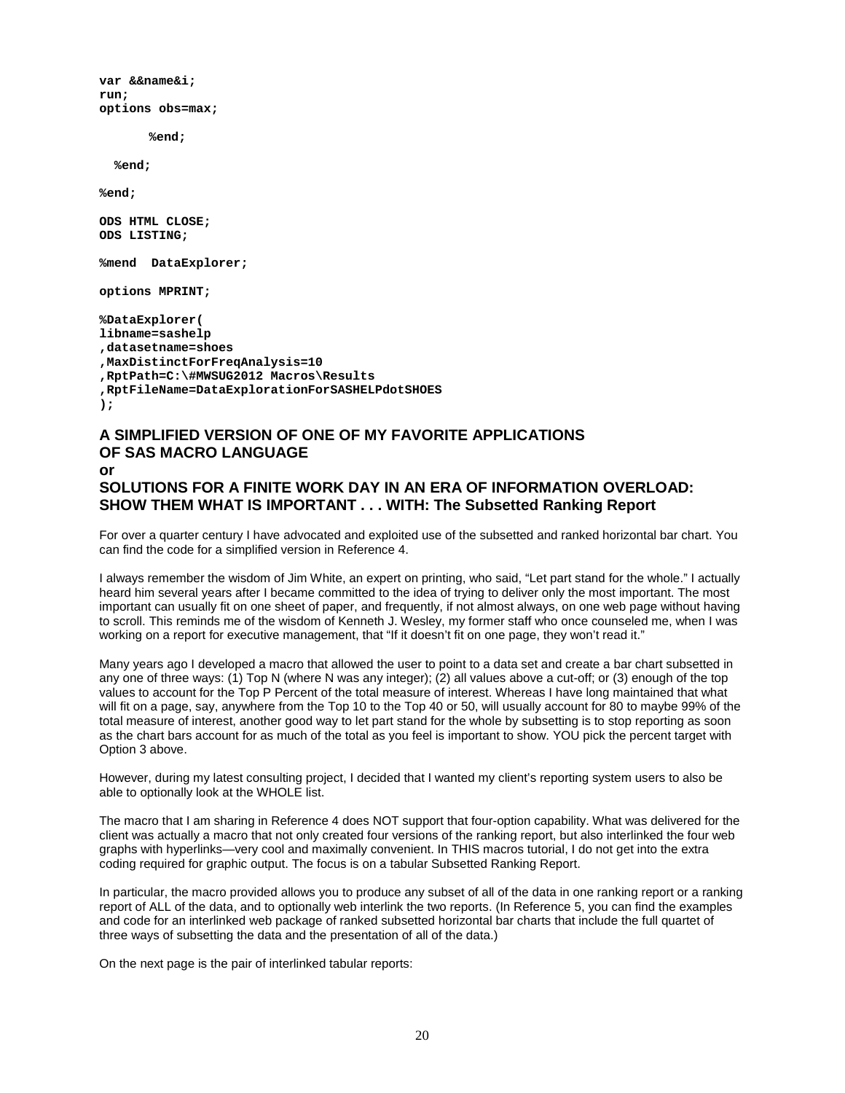**var &&name&i; run; options obs=max;**

**%end;**

 **%end;**

**%end;** 

**ODS HTML CLOSE; ODS LISTING;**

**%mend DataExplorer;**

**options MPRINT;**

**%DataExplorer( libname=sashelp ,datasetname=shoes ,MaxDistinctForFreqAnalysis=10 ,RptPath=C:\#MWSUG2012 Macros\Results ,RptFileName=DataExplorationForSASHELPdotSHOES );**

## **A SIMPLIFIED VERSION OF ONE OF MY FAVORITE APPLICATIONS OF SAS MACRO LANGUAGE or SOLUTIONS FOR A FINITE WORK DAY IN AN ERA OF INFORMATION OVERLOAD: SHOW THEM WHAT IS IMPORTANT . . . WITH: The Subsetted Ranking Report**

For over a quarter century I have advocated and exploited use of the subsetted and ranked horizontal bar chart. You can find the code for a simplified version in Reference 4.

I always remember the wisdom of Jim White, an expert on printing, who said, "Let part stand for the whole." I actually heard him several years after I became committed to the idea of trying to deliver only the most important. The most important can usually fit on one sheet of paper, and frequently, if not almost always, on one web page without having to scroll. This reminds me of the wisdom of Kenneth J. Wesley, my former staff who once counseled me, when I was working on a report for executive management, that "If it doesn't fit on one page, they won't read it."

Many years ago I developed a macro that allowed the user to point to a data set and create a bar chart subsetted in any one of three ways: (1) Top N (where N was any integer); (2) all values above a cut-off; or (3) enough of the top values to account for the Top P Percent of the total measure of interest. Whereas I have long maintained that what will fit on a page, say, anywhere from the Top 10 to the Top 40 or 50, will usually account for 80 to maybe 99% of the total measure of interest, another good way to let part stand for the whole by subsetting is to stop reporting as soon as the chart bars account for as much of the total as you feel is important to show. YOU pick the percent target with Option 3 above.

However, during my latest consulting project, I decided that I wanted my client's reporting system users to also be able to optionally look at the WHOLE list.

The macro that I am sharing in Reference 4 does NOT support that four-option capability. What was delivered for the client was actually a macro that not only created four versions of the ranking report, but also interlinked the four web graphs with hyperlinks—very cool and maximally convenient. In THIS macros tutorial, I do not get into the extra coding required for graphic output. The focus is on a tabular Subsetted Ranking Report.

In particular, the macro provided allows you to produce any subset of all of the data in one ranking report or a ranking report of ALL of the data, and to optionally web interlink the two reports. (In Reference 5, you can find the examples and code for an interlinked web package of ranked subsetted horizontal bar charts that include the full quartet of three ways of subsetting the data and the presentation of all of the data.)

On the next page is the pair of interlinked tabular reports: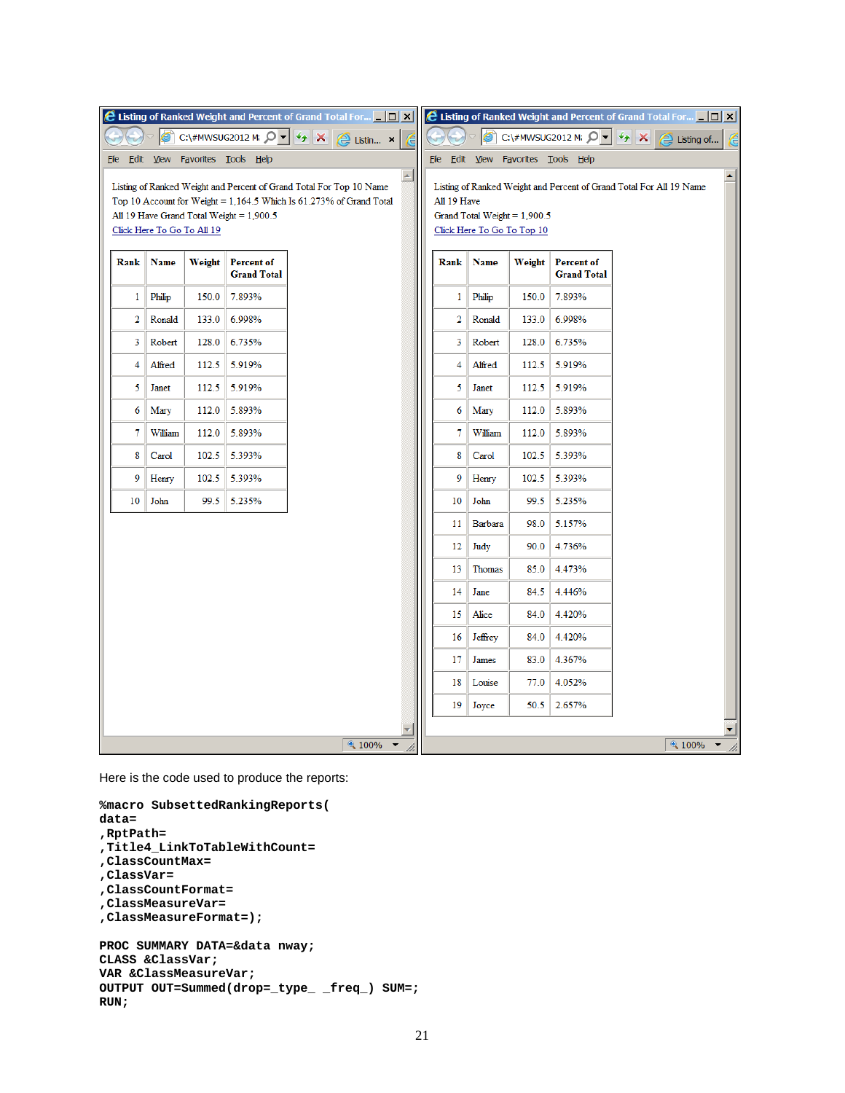|             |                            |        |                                          | E Listing of Ranked Weight and Percent of Grand Total For <b>DX E</b> Listing of Ranked Weight and Percent of Grand Total For DX             |                  |             |                                                              |        |                                                                                                       |                               |                  |
|-------------|----------------------------|--------|------------------------------------------|----------------------------------------------------------------------------------------------------------------------------------------------|------------------|-------------|--------------------------------------------------------------|--------|-------------------------------------------------------------------------------------------------------|-------------------------------|------------------|
|             |                            |        |                                          | C:\#MWSUG2012 M; 0 - 4 X A Listin x                                                                                                          | Æ                |             |                                                              |        | C:\#MWSUG2012 M: $\left \mathbf{Q} \cdot \mathbf{X}\right  \times \left \mathbf{Q}\right $ Listing of |                               | C                |
| <u>File</u> |                            |        | Edit View Favorites Tools Help           |                                                                                                                                              | $\blacktriangle$ |             |                                                              |        | File Edit View Favorites Tools Help                                                                   |                               | $\blacktriangle$ |
|             |                            |        |                                          | Listing of Ranked Weight and Percent of Grand Total For Top 10 Name<br>Top 10 Account for Weight = $1,164.5$ Which Is 61.273% of Grand Total |                  | All 19 Have |                                                              |        | Listing of Ranked Weight and Percent of Grand Total For All 19 Name                                   |                               |                  |
|             | Click Here To Go To All 19 |        | All 19 Have Grand Total Weight = 1,900.5 |                                                                                                                                              |                  |             | Grand Total Weight = $1,900.5$<br>Click Here To Go To Top 10 |        |                                                                                                       |                               |                  |
| Rank        | Name                       | Weight | <b>Percent of</b><br><b>Grand Total</b>  |                                                                                                                                              |                  | Rank        | <b>Name</b>                                                  | Weight | <b>Percent of</b><br><b>Grand Total</b>                                                               |                               |                  |
| 1           | Philip                     | 150.0  | 7.893%                                   |                                                                                                                                              |                  | 1           | Philip                                                       | 150.0  | 7.893%                                                                                                |                               |                  |
| 2           | Ronald                     | 133.0  | 6.998%                                   |                                                                                                                                              |                  | 2           | Ronald                                                       | 133.0  | 6.998%                                                                                                |                               |                  |
| 3           | Robert                     | 128.0  | 6.735%                                   |                                                                                                                                              |                  | 3           | Robert                                                       | 128.0  | 6.735%                                                                                                |                               |                  |
| 4           | Alfred                     | 112.5  | 5.919%                                   |                                                                                                                                              |                  | 4           | Alfred                                                       | 112.5  | 5.919%                                                                                                |                               |                  |
| 5           | Janet                      | 112.5  | 5.919%                                   |                                                                                                                                              |                  | 5           | Janet                                                        | 112.5  | 5.919%                                                                                                |                               |                  |
| 6           | Mary                       | 112.0  | 5.893%                                   |                                                                                                                                              |                  | 6           | Mary                                                         | 112.0  | 5.893%                                                                                                |                               |                  |
| 7           | William                    | 112.0  | 5.893%                                   |                                                                                                                                              |                  | 7           | William                                                      | 112.0  | 5.893%                                                                                                |                               |                  |
| 8           | Carol                      | 102.5  | 5.393%                                   |                                                                                                                                              |                  | 8           | Carol                                                        | 102.5  | 5.393%                                                                                                |                               |                  |
| 9           | Henry                      | 102.5  | 5.393%                                   |                                                                                                                                              |                  | 9           | Henry                                                        | 102.5  | 5.393%                                                                                                |                               |                  |
| 10          | John                       | 99.5   | 5.235%                                   |                                                                                                                                              |                  | 10          | John                                                         | 99.5   | 5.235%                                                                                                |                               |                  |
|             |                            |        |                                          |                                                                                                                                              |                  | 11          | Barbara                                                      | 98.0   | 5.157%                                                                                                |                               |                  |
|             |                            |        |                                          |                                                                                                                                              |                  | 12          | Judy                                                         | 90.0   | 4.736%                                                                                                |                               |                  |
|             |                            |        |                                          |                                                                                                                                              |                  | 13          | Thomas                                                       | 85.0   | 4.473%                                                                                                |                               |                  |
|             |                            |        |                                          |                                                                                                                                              |                  | 14          | Jane                                                         | 84.5   | 4.446%                                                                                                |                               |                  |
|             |                            |        |                                          |                                                                                                                                              |                  | 15          | Alice                                                        | 84.0   | 4.420%                                                                                                |                               |                  |
|             |                            |        |                                          |                                                                                                                                              |                  | 16          | Jeffrey                                                      | 84.0   | 4.420%                                                                                                |                               |                  |
|             |                            |        |                                          |                                                                                                                                              |                  | 17          | James                                                        | 83.0   | 4.367%                                                                                                |                               |                  |
|             |                            |        |                                          |                                                                                                                                              |                  | 18          | Louise                                                       | 77.0   | 4.052%                                                                                                |                               |                  |
|             |                            |        |                                          |                                                                                                                                              |                  | 19          | Joyce                                                        | 50.5   | 2.657%                                                                                                |                               |                  |
|             |                            |        |                                          |                                                                                                                                              |                  |             |                                                              |        |                                                                                                       |                               |                  |
|             |                            |        |                                          | $\sqrt{4}$ 100% $\sqrt{ }$                                                                                                                   |                  |             |                                                              |        |                                                                                                       | $4100\%$ $\blacktriangledown$ |                  |

Here is the code used to produce the reports:

**RUN;**

```
%macro SubsettedRankingReports(
data=
,RptPath=
,Title4_LinkToTableWithCount=
,ClassCountMax=
,ClassVar=
,ClassCountFormat=
,ClassMeasureVar=
,ClassMeasureFormat=);
PROC SUMMARY DATA=&data nway;
CLASS &ClassVar;
VAR &ClassMeasureVar;
OUTPUT OUT=Summed(drop=_type_ _freq_) SUM=;
```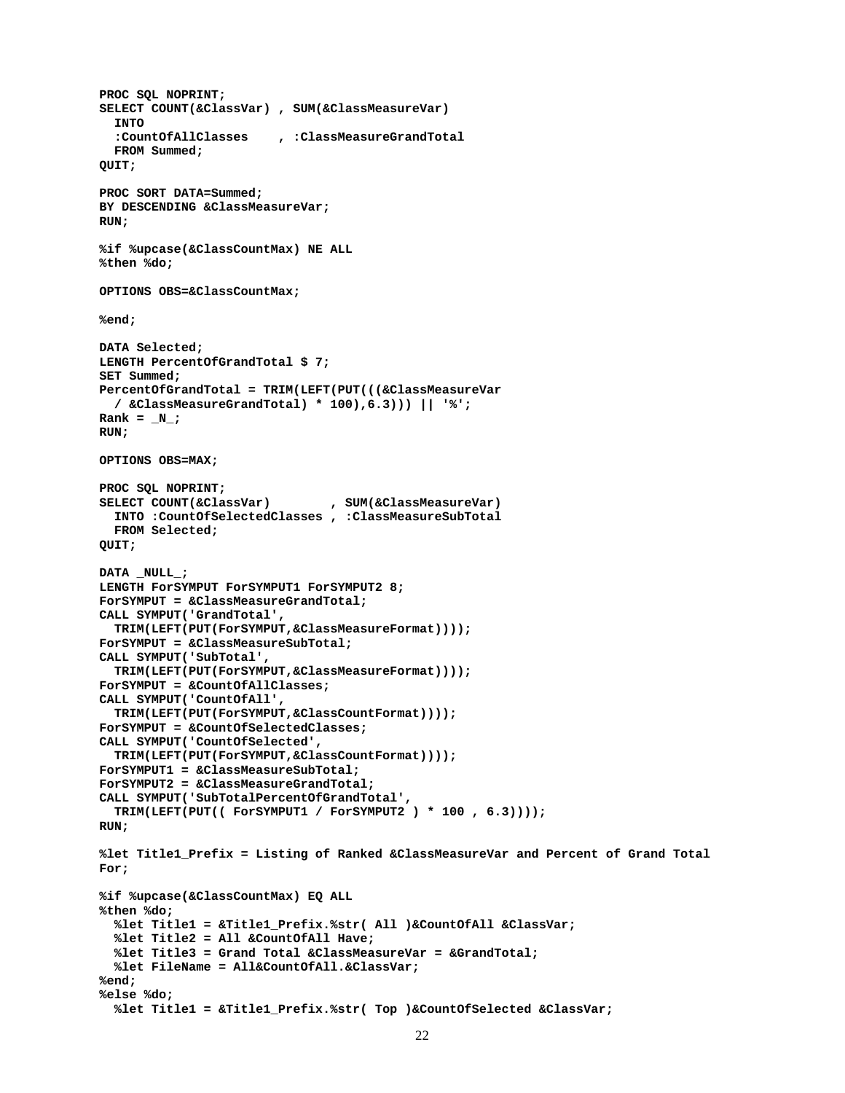```
PROC SQL NOPRINT;
SELECT COUNT(&ClassVar) , SUM(&ClassMeasureVar)
   INTO 
   :CountOfAllClasses , :ClassMeasureGrandTotal
   FROM Summed;
QUIT;
PROC SORT DATA=Summed;
BY DESCENDING &ClassMeasureVar;
RUN;
%if %upcase(&ClassCountMax) NE ALL
%then %do;
OPTIONS OBS=&ClassCountMax;
%end;
DATA Selected;
LENGTH PercentOfGrandTotal $ 7;
SET Summed;
PercentOfGrandTotal = TRIM(LEFT(PUT(((&ClassMeasureVar
  / &ClassMeasureGrandTotal) * 100),6.3))) || '%';
Rank = N_iRUN;
OPTIONS OBS=MAX;
PROC SQL NOPRINT;
                           SELECT COUNT(&ClassVar) , SUM(&ClassMeasureVar)
   INTO :CountOfSelectedClasses , :ClassMeasureSubTotal
   FROM Selected;
QUIT;
DATA _NULL_;
LENGTH ForSYMPUT ForSYMPUT1 ForSYMPUT2 8;
ForSYMPUT = &ClassMeasureGrandTotal;
CALL SYMPUT('GrandTotal',
   TRIM(LEFT(PUT(ForSYMPUT,&ClassMeasureFormat))));
ForSYMPUT = &ClassMeasureSubTotal;
CALL SYMPUT('SubTotal',
   TRIM(LEFT(PUT(ForSYMPUT,&ClassMeasureFormat))));
ForSYMPUT = &CountOfAllClasses;
CALL SYMPUT('CountOfAll',
   TRIM(LEFT(PUT(ForSYMPUT,&ClassCountFormat))));
ForSYMPUT = &CountOfSelectedClasses;
CALL SYMPUT('CountOfSelected',
   TRIM(LEFT(PUT(ForSYMPUT,&ClassCountFormat))));
ForSYMPUT1 = &ClassMeasureSubTotal;
ForSYMPUT2 = &ClassMeasureGrandTotal;
CALL SYMPUT('SubTotalPercentOfGrandTotal',
   TRIM(LEFT(PUT(( ForSYMPUT1 / ForSYMPUT2 ) * 100 , 6.3))));
RUN;
%let Title1_Prefix = Listing of Ranked &ClassMeasureVar and Percent of Grand Total 
For;
%if %upcase(&ClassCountMax) EQ ALL
%then %do;
   %let Title1 = &Title1_Prefix.%str( All )&CountOfAll &ClassVar;
   %let Title2 = All &CountOfAll Have;
   %let Title3 = Grand Total &ClassMeasureVar = &GrandTotal;
   %let FileName = All&CountOfAll.&ClassVar;
%end;
%else %do;
   %let Title1 = &Title1_Prefix.%str( Top )&CountOfSelected &ClassVar;
```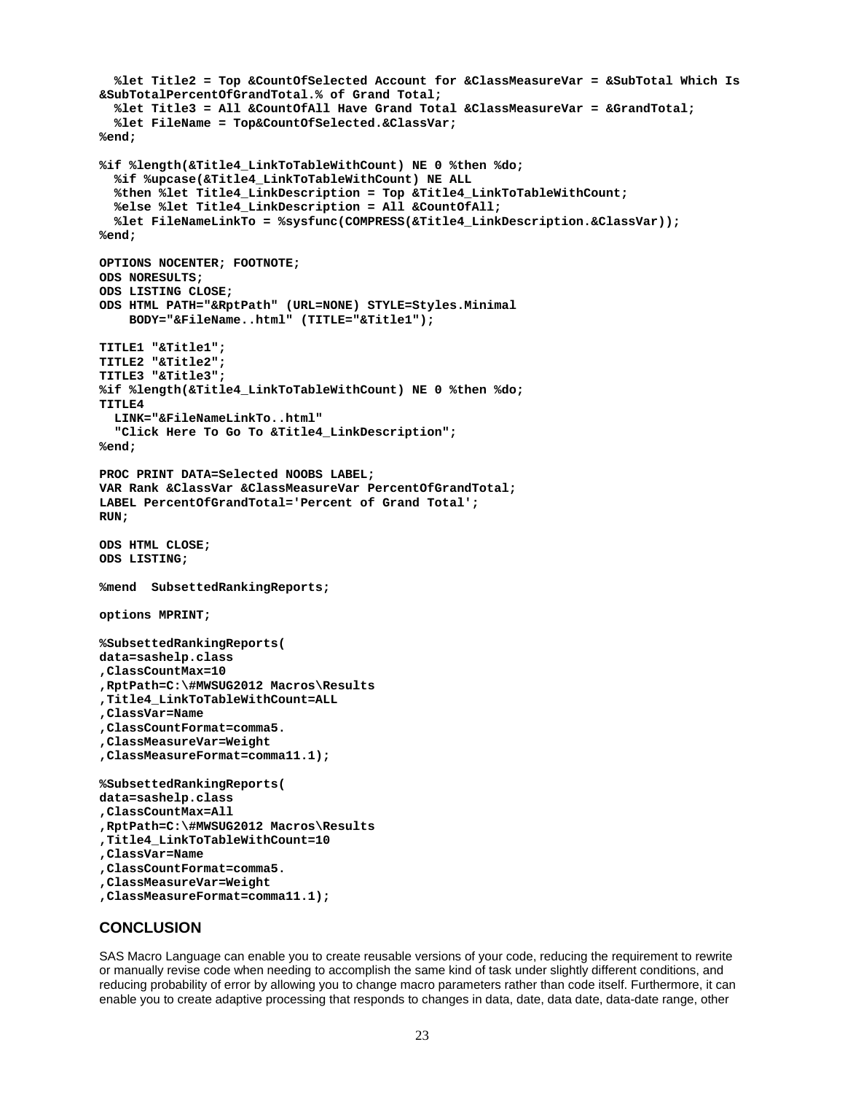```
 %let Title2 = Top &CountOfSelected Account for &ClassMeasureVar = &SubTotal Which Is 
&SubTotalPercentOfGrandTotal.% of Grand Total; 
   %let Title3 = All &CountOfAll Have Grand Total &ClassMeasureVar = &GrandTotal;
   %let FileName = Top&CountOfSelected.&ClassVar;
%end;
%if %length(&Title4_LinkToTableWithCount) NE 0 %then %do;
   %if %upcase(&Title4_LinkToTableWithCount) NE ALL
   %then %let Title4_LinkDescription = Top &Title4_LinkToTableWithCount;
   %else %let Title4_LinkDescription = All &CountOfAll;
   %let FileNameLinkTo = %sysfunc(COMPRESS(&Title4_LinkDescription.&ClassVar));
%end; 
OPTIONS NOCENTER; FOOTNOTE;
ODS NORESULTS;
ODS LISTING CLOSE;
ODS HTML PATH="&RptPath" (URL=NONE) STYLE=Styles.Minimal
     BODY="&FileName..html" (TITLE="&Title1");
TITLE1 "&Title1"; 
TITLE2 "&Title2";
TITLE3 "&Title3";
%if %length(&Title4_LinkToTableWithCount) NE 0 %then %do;
TITLE4 
   LINK="&FileNameLinkTo..html"
   "Click Here To Go To &Title4_LinkDescription";
%end;
PROC PRINT DATA=Selected NOOBS LABEL;
VAR Rank &ClassVar &ClassMeasureVar PercentOfGrandTotal;
LABEL PercentOfGrandTotal='Percent of Grand Total'; 
RUN;
ODS HTML CLOSE;
ODS LISTING;
%mend SubsettedRankingReports;
options MPRINT;
%SubsettedRankingReports(
data=sashelp.class
,ClassCountMax=10
,RptPath=C:\#MWSUG2012 Macros\Results
,Title4_LinkToTableWithCount=ALL
,ClassVar=Name
,ClassCountFormat=comma5.
,ClassMeasureVar=Weight
,ClassMeasureFormat=comma11.1);
%SubsettedRankingReports(
data=sashelp.class
,ClassCountMax=All
,RptPath=C:\#MWSUG2012 Macros\Results
,Title4_LinkToTableWithCount=10
,ClassVar=Name
,ClassCountFormat=comma5.
,ClassMeasureVar=Weight
,ClassMeasureFormat=comma11.1);
```
#### **CONCLUSION**

SAS Macro Language can enable you to create reusable versions of your code, reducing the requirement to rewrite or manually revise code when needing to accomplish the same kind of task under slightly different conditions, and reducing probability of error by allowing you to change macro parameters rather than code itself. Furthermore, it can enable you to create adaptive processing that responds to changes in data, date, data date, data-date range, other